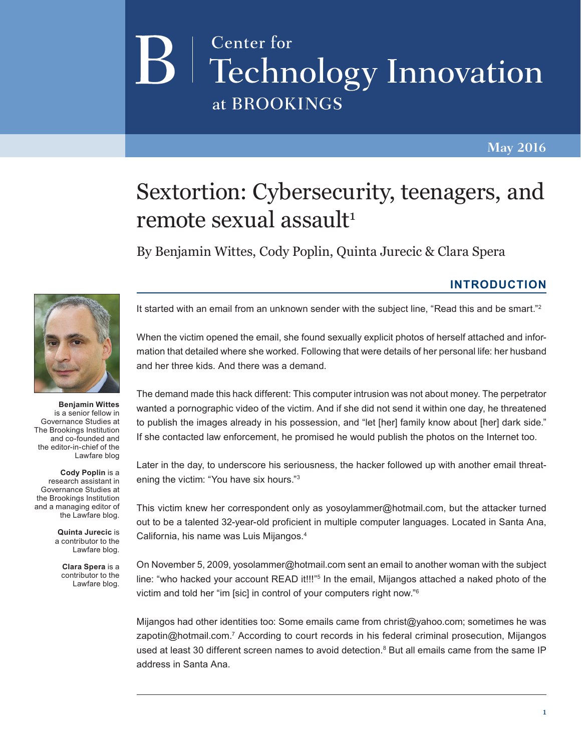# Center for **B** | Technology Innovation at BROOKINGS

**May 2016**

# Sextortion: Cybersecurity, teenagers, and remote sexual assault<sup>1</sup>

By Benjamin Wittes, Cody Poplin, Quinta Jurecic & Clara Spera

#### **INTRODUCTION**



**Benjamin Wittes** is a senior fellow in Governance Studies at The Brookings Institution and co-founded and the editor-in-chief of the Lawfare blog

**Cody Poplin** is a research assistant in Governance Studies at the Brookings Institution and a managing editor of the Lawfare blog.

> **Quinta Jurecic** is a contributor to the Lawfare blog.

> > **Clara Spera** is a contributor to the Lawfare blog.

It started with an email from an unknown sender with the subject line, "Read this and be smart."<sup>2</sup>

When the victim opened the email, she found sexually explicit photos of herself attached and information that detailed where she worked. Following that were details of her personal life: her husband and her three kids. And there was a demand.

The demand made this hack different: This computer intrusion was not about money. The perpetrator wanted a pornographic video of the victim. And if she did not send it within one day, he threatened to publish the images already in his possession, and "let [her] family know about [her] dark side." If she contacted law enforcement, he promised he would publish the photos on the Internet too.

Later in the day, to underscore his seriousness, the hacker followed up with another email threatening the victim: "You have six hours."3

This victim knew her correspondent only as yosoylammer@hotmail.com, but the attacker turned out to be a talented 32-year-old proficient in multiple computer languages. Located in Santa Ana, California, his name was Luis Mijangos.4

On November 5, 2009, yosolammer@hotmail.com sent an email to another woman with the subject line: "who hacked your account READ it!!!"5 In the email, Mijangos attached a naked photo of the victim and told her "im [sic] in control of your computers right now."6

Mijangos had other identities too: Some emails came from christ@yahoo.com; sometimes he was zapotin@hotmail.com.<sup>7</sup> According to court records in his federal criminal prosecution, Mijangos used at least 30 different screen names to avoid detection. $^8$  But all emails came from the same IP address in Santa Ana.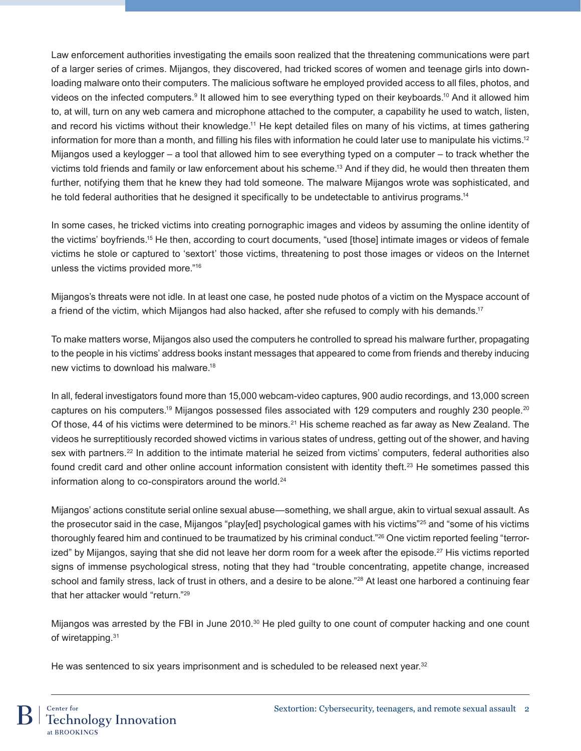Law enforcement authorities investigating the emails soon realized that the threatening communications were part of a larger series of crimes. Mijangos, they discovered, had tricked scores of women and teenage girls into downloading malware onto their computers. The malicious software he employed provided access to all files, photos, and videos on the infected computers.<sup>9</sup> It allowed him to see everything typed on their keyboards.<sup>10</sup> And it allowed him to, at will, turn on any web camera and microphone attached to the computer, a capability he used to watch, listen, and record his victims without their knowledge.11 He kept detailed files on many of his victims, at times gathering information for more than a month, and filling his files with information he could later use to manipulate his victims.12 Mijangos used a keylogger – a tool that allowed him to see everything typed on a computer – to track whether the victims told friends and family or law enforcement about his scheme.13 And if they did, he would then threaten them further, notifying them that he knew they had told someone. The malware Mijangos wrote was sophisticated, and he told federal authorities that he designed it specifically to be undetectable to antivirus programs.<sup>14</sup>

In some cases, he tricked victims into creating pornographic images and videos by assuming the online identity of the victims' boyfriends.15 He then, according to court documents, "used [those] intimate images or videos of female victims he stole or captured to 'sextort' those victims, threatening to post those images or videos on the Internet unless the victims provided more."16

Mijangos's threats were not idle. In at least one case, he posted nude photos of a victim on the Myspace account of a friend of the victim, which Mijangos had also hacked, after she refused to comply with his demands.17

To make matters worse, Mijangos also used the computers he controlled to spread his malware further, propagating to the people in his victims' address books instant messages that appeared to come from friends and thereby inducing new victims to download his malware.18

In all, federal investigators found more than 15,000 webcam-video captures, 900 audio recordings, and 13,000 screen captures on his computers.19 Mijangos possessed files associated with 129 computers and roughly 230 people.20 Of those, 44 of his victims were determined to be minors.21 His scheme reached as far away as New Zealand. The videos he surreptitiously recorded showed victims in various states of undress, getting out of the shower, and having sex with partners.<sup>22</sup> In addition to the intimate material he seized from victims' computers, federal authorities also found credit card and other online account information consistent with identity theft.<sup>23</sup> He sometimes passed this information along to co-conspirators around the world.24

Mijangos' actions constitute serial online sexual abuse—something, we shall argue, akin to virtual sexual assault. As the prosecutor said in the case, Mijangos "play[ed] psychological games with his victims"<sup>25</sup> and "some of his victims" thoroughly feared him and continued to be traumatized by his criminal conduct."26 One victim reported feeling "terrorized" by Mijangos, saying that she did not leave her dorm room for a week after the episode.<sup>27</sup> His victims reported signs of immense psychological stress, noting that they had "trouble concentrating, appetite change, increased school and family stress, lack of trust in others, and a desire to be alone."<sup>28</sup> At least one harbored a continuing fear that her attacker would "return."29

Mijangos was arrested by the FBI in June 2010.<sup>30</sup> He pled guilty to one count of computer hacking and one count of wiretapping.<sup>31</sup>

He was sentenced to six years imprisonment and is scheduled to be released next year.<sup>32</sup>

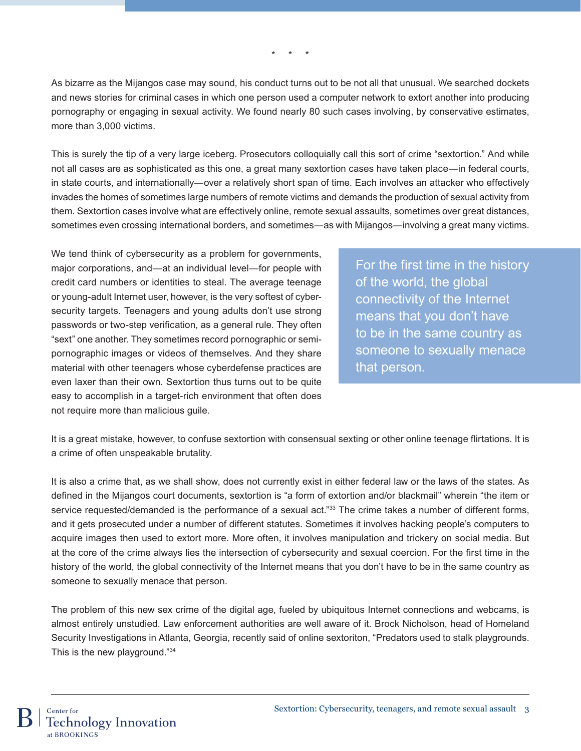As bizarre as the Mijangos case may sound, his conduct turns out to be not all that unusual. We searched dockets and news stories for criminal cases in which one person used a computer network to extort another into producing pornography or engaging in sexual activity. We found nearly 80 such cases involving, by conservative estimates, more than 3,000 victims.

This is surely the tip of a very large iceberg. Prosecutors colloquially call this sort of crime "sextortion." And while not all cases are as sophisticated as this one, a great many sextortion cases have taken place―in federal courts, in state courts, and internationally―over a relatively short span of time. Each involves an attacker who effectively invades the homes of sometimes large numbers of remote victims and demands the production of sexual activity from them. Sextortion cases involve what are effectively online, remote sexual assaults, sometimes over great distances, sometimes even crossing international borders, and sometimes—as with Mijangos—involving a great many victims.

We tend think of cybersecurity as a problem for governments, major corporations, and—at an individual level—for people with credit card numbers or identities to steal. The average teenage or young-adult Internet user, however, is the very softest of cybersecurity targets. Teenagers and young adults don't use strong passwords or two-step verification, as a general rule. They often "sext" one another. They sometimes record pornographic or semipornographic images or videos of themselves. And they share material with other teenagers whose cyberdefense practices are even laxer than their own. Sextortion thus turns out to be quite easy to accomplish in a target-rich environment that often does not require more than malicious guile.

For the first time in the history of the world, the global connectivity of the Internet means that you don't have to be in the same country as someone to sexually menace that person.

It is a great mistake, however, to confuse sextortion with consensual sexting or other online teenage flirtations. It is a crime of often unspeakable brutality.

It is also a crime that, as we shall show, does not currently exist in either federal law or the laws of the states. As defined in the Mijangos court documents, sextortion is "a form of extortion and/or blackmail" wherein "the item or service requested/demanded is the performance of a sexual act."<sup>33</sup> The crime takes a number of different forms, and it gets prosecuted under a number of different statutes. Sometimes it involves hacking people's computers to acquire images then used to extort more. More often, it involves manipulation and trickery on social media. But at the core of the crime always lies the intersection of cybersecurity and sexual coercion. For the first time in the history of the world, the global connectivity of the Internet means that you don't have to be in the same country as someone to sexually menace that person.

The problem of this new sex crime of the digital age, fueled by ubiquitous Internet connections and webcams, is almost entirely unstudied. Law enforcement authorities are well aware of it. Brock Nicholson, head of Homeland Security Investigations in Atlanta, Georgia, recently said of online sextoriton, "Predators used to stalk playgrounds. This is the new playground."34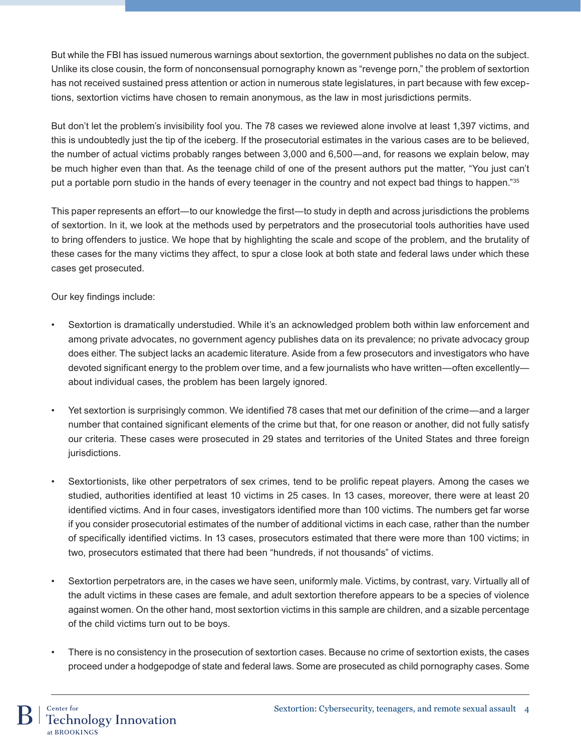But while the FBI has issued numerous warnings about sextortion, the government publishes no data on the subject. Unlike its close cousin, the form of nonconsensual pornography known as "revenge porn," the problem of sextortion has not received sustained press attention or action in numerous state legislatures, in part because with few exceptions, sextortion victims have chosen to remain anonymous, as the law in most jurisdictions permits.

But don't let the problem's invisibility fool you. The 78 cases we reviewed alone involve at least 1,397 victims, and this is undoubtedly just the tip of the iceberg. If the prosecutorial estimates in the various cases are to be believed, the number of actual victims probably ranges between 3,000 and 6,500—and, for reasons we explain below, may be much higher even than that. As the teenage child of one of the present authors put the matter, "You just can't put a portable porn studio in the hands of every teenager in the country and not expect bad things to happen."35

This paper represents an effort—to our knowledge the first—to study in depth and across jurisdictions the problems of sextortion. In it, we look at the methods used by perpetrators and the prosecutorial tools authorities have used to bring offenders to justice. We hope that by highlighting the scale and scope of the problem, and the brutality of these cases for the many victims they affect, to spur a close look at both state and federal laws under which these cases get prosecuted.

Our key findings include:

- Sextortion is dramatically understudied. While it's an acknowledged problem both within law enforcement and among private advocates, no government agency publishes data on its prevalence; no private advocacy group does either. The subject lacks an academic literature. Aside from a few prosecutors and investigators who have devoted significant energy to the problem over time, and a few journalists who have written—often excellently about individual cases, the problem has been largely ignored.
- Yet sextortion is surprisingly common. We identified 78 cases that met our definition of the crime—and a larger number that contained significant elements of the crime but that, for one reason or another, did not fully satisfy our criteria. These cases were prosecuted in 29 states and territories of the United States and three foreign jurisdictions.
- Sextortionists, like other perpetrators of sex crimes, tend to be prolific repeat players. Among the cases we studied, authorities identified at least 10 victims in 25 cases. In 13 cases, moreover, there were at least 20 identified victims. And in four cases, investigators identified more than 100 victims. The numbers get far worse if you consider prosecutorial estimates of the number of additional victims in each case, rather than the number of specifically identified victims. In 13 cases, prosecutors estimated that there were more than 100 victims; in two, prosecutors estimated that there had been "hundreds, if not thousands" of victims.
- Sextortion perpetrators are, in the cases we have seen, uniformly male. Victims, by contrast, vary. Virtually all of the adult victims in these cases are female, and adult sextortion therefore appears to be a species of violence against women. On the other hand, most sextortion victims in this sample are children, and a sizable percentage of the child victims turn out to be boys.
- There is no consistency in the prosecution of sextortion cases. Because no crime of sextortion exists, the cases proceed under a hodgepodge of state and federal laws. Some are prosecuted as child pornography cases. Some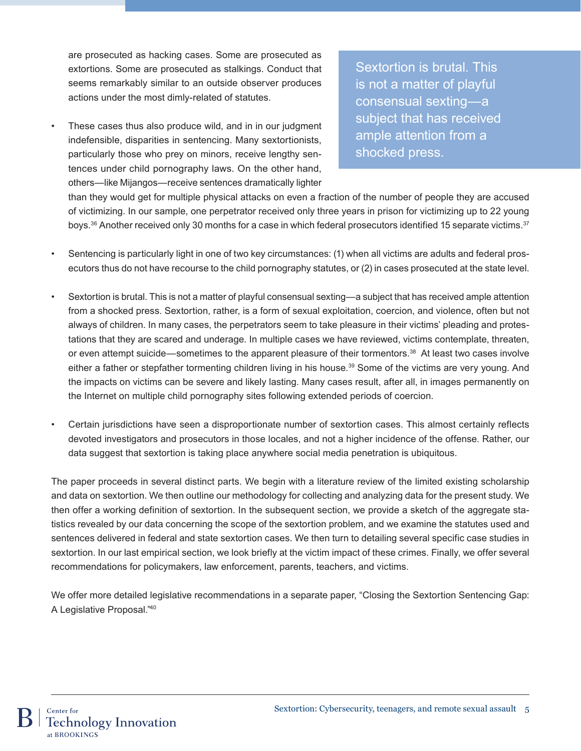are prosecuted as hacking cases. Some are prosecuted as extortions. Some are prosecuted as stalkings. Conduct that seems remarkably similar to an outside observer produces actions under the most dimly-related of statutes.

These cases thus also produce wild, and in in our judgment indefensible, disparities in sentencing. Many sextortionists, particularly those who prey on minors, receive lengthy sentences under child pornography laws. On the other hand, others—like Mijangos—receive sentences dramatically lighter

Sextortion is brutal. This is not a matter of playful consensual sexting—a subject that has received ample attention from a shocked press.

than they would get for multiple physical attacks on even a fraction of the number of people they are accused of victimizing. In our sample, one perpetrator received only three years in prison for victimizing up to 22 young boys.<sup>36</sup> Another received only 30 months for a case in which federal prosecutors identified 15 separate victims.<sup>37</sup>

- Sentencing is particularly light in one of two key circumstances: (1) when all victims are adults and federal prosecutors thus do not have recourse to the child pornography statutes, or (2) in cases prosecuted at the state level.
- Sextortion is brutal. This is not a matter of playful consensual sexting—a subject that has received ample attention from a shocked press. Sextortion, rather, is a form of sexual exploitation, coercion, and violence, often but not always of children. In many cases, the perpetrators seem to take pleasure in their victims' pleading and protestations that they are scared and underage. In multiple cases we have reviewed, victims contemplate, threaten, or even attempt suicide—sometimes to the apparent pleasure of their tormentors.38 At least two cases involve either a father or stepfather tormenting children living in his house.<sup>39</sup> Some of the victims are very young. And the impacts on victims can be severe and likely lasting. Many cases result, after all, in images permanently on the Internet on multiple child pornography sites following extended periods of coercion.
- Certain jurisdictions have seen a disproportionate number of sextortion cases. This almost certainly reflects devoted investigators and prosecutors in those locales, and not a higher incidence of the offense. Rather, our data suggest that sextortion is taking place anywhere social media penetration is ubiquitous.

The paper proceeds in several distinct parts. We begin with a literature review of the limited existing scholarship and data on sextortion. We then outline our methodology for collecting and analyzing data for the present study. We then offer a working definition of sextortion. In the subsequent section, we provide a sketch of the aggregate statistics revealed by our data concerning the scope of the sextortion problem, and we examine the statutes used and sentences delivered in federal and state sextortion cases. We then turn to detailing several specific case studies in sextortion. In our last empirical section, we look briefly at the victim impact of these crimes. Finally, we offer several recommendations for policymakers, law enforcement, parents, teachers, and victims.

We offer more detailed legislative recommendations in a separate paper, "Closing the Sextortion Sentencing Gap: A Legislative Proposal."40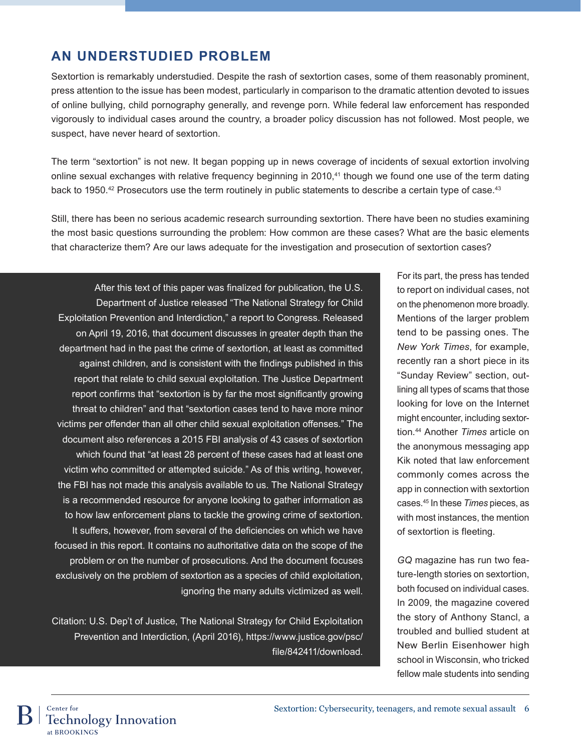#### **AN UNDERSTUDIED PROBLEM**

Sextortion is remarkably understudied. Despite the rash of sextortion cases, some of them reasonably prominent, press attention to the issue has been modest, particularly in comparison to the dramatic attention devoted to issues of online bullying, child pornography generally, and revenge porn. While federal law enforcement has responded vigorously to individual cases around the country, a broader policy discussion has not followed. Most people, we suspect, have never heard of sextortion.

The term "sextortion" is not new. It began popping up in news coverage of incidents of sexual extortion involving online sexual exchanges with relative frequency beginning in 2010,<sup>41</sup> though we found one use of the term dating back to 1950.42 Prosecutors use the term routinely in public statements to describe a certain type of case.43

Still, there has been no serious academic research surrounding sextortion. There have been no studies examining the most basic questions surrounding the problem: How common are these cases? What are the basic elements that characterize them? Are our laws adequate for the investigation and prosecution of sextortion cases?

After this text of this paper was finalized for publication, the U.S. Department of Justice released "The National Strategy for Child Exploitation Prevention and Interdiction," a report to Congress. Released on April 19, 2016, that document discusses in greater depth than the department had in the past the crime of sextortion, at least as committed against children, and is consistent with the findings published in this report that relate to child sexual exploitation. The Justice Department report confirms that "sextortion is by far the most significantly growing threat to children" and that "sextortion cases tend to have more minor victims per offender than all other child sexual exploitation offenses." The document also references a 2015 FBI analysis of 43 cases of sextortion which found that "at least 28 percent of these cases had at least one victim who committed or attempted suicide." As of this writing, however, the FBI has not made this analysis available to us. The National Strategy is a recommended resource for anyone looking to gather information as to how law enforcement plans to tackle the growing crime of sextortion. It suffers, however, from several of the deficiencies on which we have focused in this report. It contains no authoritative data on the scope of the problem or on the number of prosecutions. And the document focuses exclusively on the problem of sextortion as a species of child exploitation, ignoring the many adults victimized as well.

Citation: U.S. Dep't of Justice, The National Strategy for Child Exploitation Prevention and Interdiction, (April 2016), https://www.justice.gov/psc/ file/842411/download. For its part, the press has tended to report on individual cases, not on the phenomenon more broadly. Mentions of the larger problem tend to be passing ones. The *New York Times*, for example, recently ran a short piece in its "Sunday Review" section, outlining all types of scams that those looking for love on the Internet might encounter, including sextortion.44 Another *Times* article on the anonymous messaging app Kik noted that law enforcement commonly comes across the app in connection with sextortion cases.45 In these *Times* pieces, as with most instances, the mention of sextortion is fleeting.

*GQ* magazine has run two feature-length stories on sextortion, both focused on individual cases. In 2009, the magazine covered the story of Anthony Stancl, a troubled and bullied student at New Berlin Eisenhower high school in Wisconsin, who tricked fellow male students into sending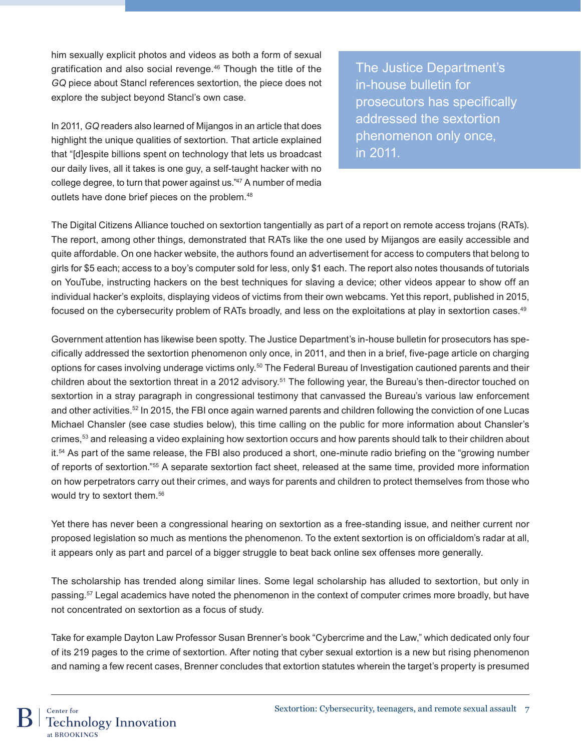him sexually explicit photos and videos as both a form of sexual gratification and also social revenge.<sup>46</sup> Though the title of the *GQ* piece about Stancl references sextortion, the piece does not explore the subject beyond Stancl's own case.

In 2011, *GQ* readers also learned of Mijangos in an article that does highlight the unique qualities of sextortion. That article explained that "[d]espite billions spent on technology that lets us broadcast our daily lives, all it takes is one guy, a self-taught hacker with no college degree, to turn that power against us."47 A number of media outlets have done brief pieces on the problem.<sup>48</sup>

The Justice Department's in-house bulletin for prosecutors has specifically addressed the sextortion phenomenon only once, in 2011.

The Digital Citizens Alliance touched on sextortion tangentially as part of a report on remote access trojans (RATs). The report, among other things, demonstrated that RATs like the one used by Mijangos are easily accessible and quite affordable. On one hacker website, the authors found an advertisement for access to computers that belong to girls for \$5 each; access to a boy's computer sold for less, only \$1 each. The report also notes thousands of tutorials on YouTube, instructing hackers on the best techniques for slaving a device; other videos appear to show off an individual hacker's exploits, displaying videos of victims from their own webcams. Yet this report, published in 2015, focused on the cybersecurity problem of RATs broadly, and less on the exploitations at play in sextortion cases.49

Government attention has likewise been spotty. The Justice Department's in-house bulletin for prosecutors has specifically addressed the sextortion phenomenon only once, in 2011, and then in a brief, five-page article on charging options for cases involving underage victims only.50 The Federal Bureau of Investigation cautioned parents and their children about the sextortion threat in a 2012 advisory.<sup>51</sup> The following year, the Bureau's then-director touched on sextortion in a stray paragraph in congressional testimony that canvassed the Bureau's various law enforcement and other activities.52 In 2015, the FBI once again warned parents and children following the conviction of one Lucas Michael Chansler (see case studies below), this time calling on the public for more information about Chansler's crimes,53 and releasing a video explaining how sextortion occurs and how parents should talk to their children about it.54 As part of the same release, the FBI also produced a short, one-minute radio briefing on the "growing number of reports of sextortion."55 A separate sextortion fact sheet, released at the same time, provided more information on how perpetrators carry out their crimes, and ways for parents and children to protect themselves from those who would try to sextort them.<sup>56</sup>

Yet there has never been a congressional hearing on sextortion as a free-standing issue, and neither current nor proposed legislation so much as mentions the phenomenon. To the extent sextortion is on officialdom's radar at all, it appears only as part and parcel of a bigger struggle to beat back online sex offenses more generally.

The scholarship has trended along similar lines. Some legal scholarship has alluded to sextortion, but only in passing.57 Legal academics have noted the phenomenon in the context of computer crimes more broadly, but have not concentrated on sextortion as a focus of study.

Take for example Dayton Law Professor Susan Brenner's book "Cybercrime and the Law," which dedicated only four of its 219 pages to the crime of sextortion. After noting that cyber sexual extortion is a new but rising phenomenon and naming a few recent cases, Brenner concludes that extortion statutes wherein the target's property is presumed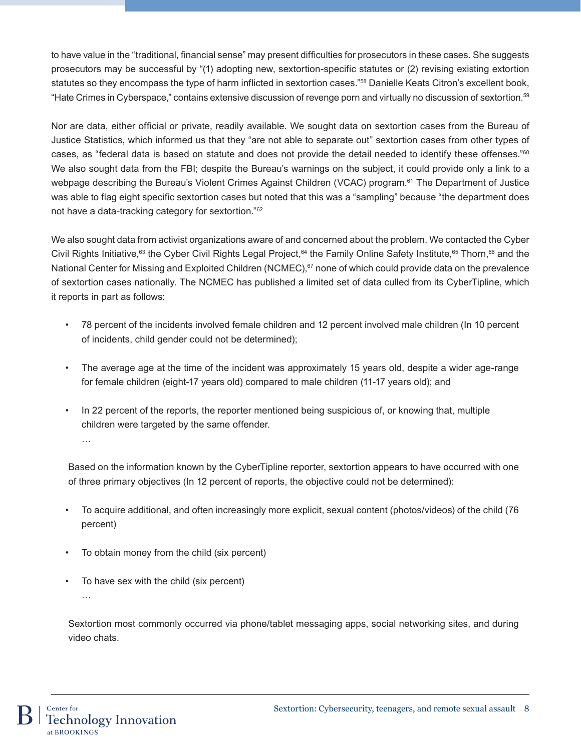to have value in the "traditional, financial sense" may present difficulties for prosecutors in these cases. She suggests prosecutors may be successful by "(1) adopting new, sextortion-specific statutes or (2) revising existing extortion statutes so they encompass the type of harm inflicted in sextortion cases."58 Danielle Keats Citron's excellent book, "Hate Crimes in Cyberspace," contains extensive discussion of revenge porn and virtually no discussion of sextortion.59

Nor are data, either official or private, readily available. We sought data on sextortion cases from the Bureau of Justice Statistics, which informed us that they "are not able to separate out" sextortion cases from other types of cases, as "federal data is based on statute and does not provide the detail needed to identify these offenses."60 We also sought data from the FBI; despite the Bureau's warnings on the subject, it could provide only a link to a webpage describing the Bureau's Violent Crimes Against Children (VCAC) program.<sup>61</sup> The Department of Justice was able to flag eight specific sextortion cases but noted that this was a "sampling" because "the department does not have a data-tracking category for sextortion."62

We also sought data from activist organizations aware of and concerned about the problem. We contacted the Cyber Civil Rights Initiative,<sup>63</sup> the Cyber Civil Rights Legal Project,<sup>64</sup> the Family Online Safety Institute,<sup>65</sup> Thorn,<sup>66</sup> and the National Center for Missing and Exploited Children (NCMEC),<sup>67</sup> none of which could provide data on the prevalence of sextortion cases nationally. The NCMEC has published a limited set of data culled from its CyberTipline, which it reports in part as follows:

- 78 percent of the incidents involved female children and 12 percent involved male children (In 10 percent of incidents, child gender could not be determined);
- The average age at the time of the incident was approximately 15 years old, despite a wider age-range for female children (eight-17 years old) compared to male children (11-17 years old); and
- In 22 percent of the reports, the reporter mentioned being suspicious of, or knowing that, multiple children were targeted by the same offender. …

Based on the information known by the CyberTipline reporter, sextortion appears to have occurred with one of three primary objectives (In 12 percent of reports, the objective could not be determined):

- To acquire additional, and often increasingly more explicit, sexual content (photos/videos) of the child (76 percent)
- To obtain money from the child (six percent)
- To have sex with the child (six percent) …

Sextortion most commonly occurred via phone/tablet messaging apps, social networking sites, and during video chats.

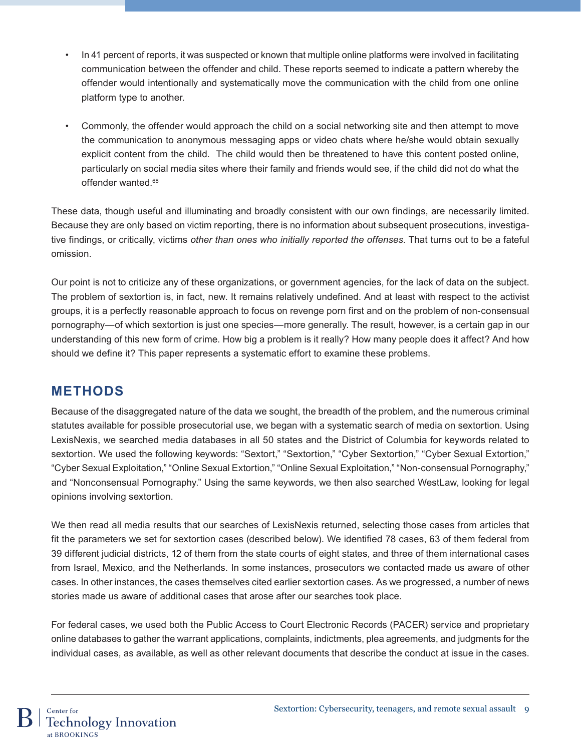- In 41 percent of reports, it was suspected or known that multiple online platforms were involved in facilitating communication between the offender and child. These reports seemed to indicate a pattern whereby the offender would intentionally and systematically move the communication with the child from one online platform type to another.
- Commonly, the offender would approach the child on a social networking site and then attempt to move the communication to anonymous messaging apps or video chats where he/she would obtain sexually explicit content from the child. The child would then be threatened to have this content posted online, particularly on social media sites where their family and friends would see, if the child did not do what the offender wanted.<sup>68</sup>

These data, though useful and illuminating and broadly consistent with our own findings, are necessarily limited. Because they are only based on victim reporting, there is no information about subsequent prosecutions, investigative findings, or critically, victims *other than ones who initially reported the offenses*. That turns out to be a fateful omission.

Our point is not to criticize any of these organizations, or government agencies, for the lack of data on the subject. The problem of sextortion is, in fact, new. It remains relatively undefined. And at least with respect to the activist groups, it is a perfectly reasonable approach to focus on revenge porn first and on the problem of non-consensual pornography—of which sextortion is just one species—more generally. The result, however, is a certain gap in our understanding of this new form of crime. How big a problem is it really? How many people does it affect? And how should we define it? This paper represents a systematic effort to examine these problems.

## **METHODS**

Because of the disaggregated nature of the data we sought, the breadth of the problem, and the numerous criminal statutes available for possible prosecutorial use, we began with a systematic search of media on sextortion. Using LexisNexis, we searched media databases in all 50 states and the District of Columbia for keywords related to sextortion. We used the following keywords: "Sextort," "Sextortion," "Cyber Sextortion," "Cyber Sexual Extortion," "Cyber Sexual Exploitation," "Online Sexual Extortion," "Online Sexual Exploitation," "Non-consensual Pornography," and "Nonconsensual Pornography." Using the same keywords, we then also searched WestLaw, looking for legal opinions involving sextortion.

We then read all media results that our searches of LexisNexis returned, selecting those cases from articles that fit the parameters we set for sextortion cases (described below). We identified 78 cases, 63 of them federal from 39 different judicial districts, 12 of them from the state courts of eight states, and three of them international cases from Israel, Mexico, and the Netherlands. In some instances, prosecutors we contacted made us aware of other cases. In other instances, the cases themselves cited earlier sextortion cases. As we progressed, a number of news stories made us aware of additional cases that arose after our searches took place.

For federal cases, we used both the Public Access to Court Electronic Records (PACER) service and proprietary online databases to gather the warrant applications, complaints, indictments, plea agreements, and judgments for the individual cases, as available, as well as other relevant documents that describe the conduct at issue in the cases.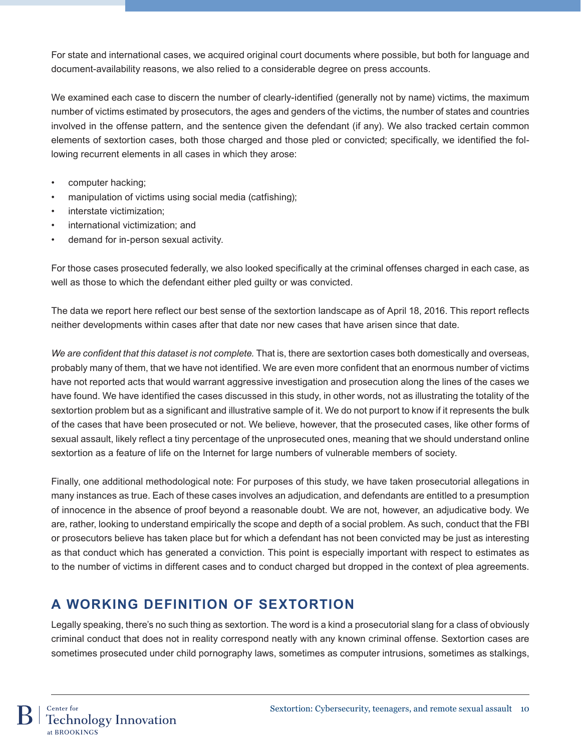For state and international cases, we acquired original court documents where possible, but both for language and document-availability reasons, we also relied to a considerable degree on press accounts.

We examined each case to discern the number of clearly-identified (generally not by name) victims, the maximum number of victims estimated by prosecutors, the ages and genders of the victims, the number of states and countries involved in the offense pattern, and the sentence given the defendant (if any). We also tracked certain common elements of sextortion cases, both those charged and those pled or convicted; specifically, we identified the following recurrent elements in all cases in which they arose:

- computer hacking;
- manipulation of victims using social media (catfishing);
- interstate victimization;
- international victimization; and
- demand for in-person sexual activity.

For those cases prosecuted federally, we also looked specifically at the criminal offenses charged in each case, as well as those to which the defendant either pled guilty or was convicted.

The data we report here reflect our best sense of the sextortion landscape as of April 18, 2016. This report reflects neither developments within cases after that date nor new cases that have arisen since that date.

*We are confident that this dataset is not complete.* That is, there are sextortion cases both domestically and overseas, probably many of them, that we have not identified. We are even more confident that an enormous number of victims have not reported acts that would warrant aggressive investigation and prosecution along the lines of the cases we have found. We have identified the cases discussed in this study, in other words, not as illustrating the totality of the sextortion problem but as a significant and illustrative sample of it. We do not purport to know if it represents the bulk of the cases that have been prosecuted or not. We believe, however, that the prosecuted cases, like other forms of sexual assault, likely reflect a tiny percentage of the unprosecuted ones, meaning that we should understand online sextortion as a feature of life on the Internet for large numbers of vulnerable members of society.

Finally, one additional methodological note: For purposes of this study, we have taken prosecutorial allegations in many instances as true. Each of these cases involves an adjudication, and defendants are entitled to a presumption of innocence in the absence of proof beyond a reasonable doubt. We are not, however, an adjudicative body. We are, rather, looking to understand empirically the scope and depth of a social problem. As such, conduct that the FBI or prosecutors believe has taken place but for which a defendant has not been convicted may be just as interesting as that conduct which has generated a conviction. This point is especially important with respect to estimates as to the number of victims in different cases and to conduct charged but dropped in the context of plea agreements.

## **A WORKING DEFINITION OF SEXTORTION**

Legally speaking, there's no such thing as sextortion. The word is a kind a prosecutorial slang for a class of obviously criminal conduct that does not in reality correspond neatly with any known criminal offense. Sextortion cases are sometimes prosecuted under child pornography laws, sometimes as computer intrusions, sometimes as stalkings,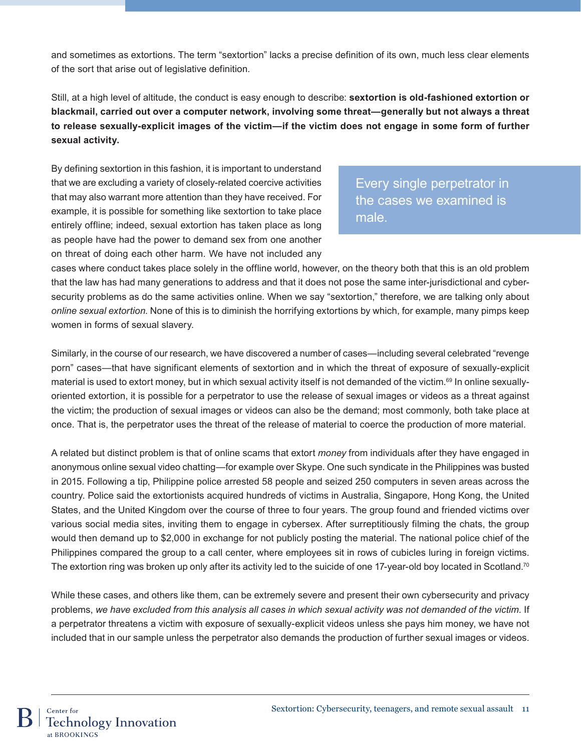and sometimes as extortions. The term "sextortion" lacks a precise definition of its own, much less clear elements of the sort that arise out of legislative definition.

Still, at a high level of altitude, the conduct is easy enough to describe: **sextortion is old-fashioned extortion or blackmail, carried out over a computer network, involving some threat—generally but not always a threat to release sexually-explicit images of the victim—if the victim does not engage in some form of further sexual activity.** 

By defining sextortion in this fashion, it is important to understand that we are excluding a variety of closely-related coercive activities that may also warrant more attention than they have received. For example, it is possible for something like sextortion to take place entirely offline; indeed, sexual extortion has taken place as long as people have had the power to demand sex from one another on threat of doing each other harm. We have not included any

Every single perpetrator in the cases we examined is male.

cases where conduct takes place solely in the offline world, however, on the theory both that this is an old problem that the law has had many generations to address and that it does not pose the same inter-jurisdictional and cybersecurity problems as do the same activities online. When we say "sextortion," therefore, we are talking only about *online sexual extortion*. None of this is to diminish the horrifying extortions by which, for example, many pimps keep women in forms of sexual slavery.

Similarly, in the course of our research, we have discovered a number of cases—including several celebrated "revenge porn" cases—that have significant elements of sextortion and in which the threat of exposure of sexually-explicit material is used to extort money, but in which sexual activity itself is not demanded of the victim.<sup>69</sup> In online sexuallyoriented extortion, it is possible for a perpetrator to use the release of sexual images or videos as a threat against the victim; the production of sexual images or videos can also be the demand; most commonly, both take place at once. That is, the perpetrator uses the threat of the release of material to coerce the production of more material.

A related but distinct problem is that of online scams that extort *money* from individuals after they have engaged in anonymous online sexual video chatting—for example over Skype. One such syndicate in the Philippines was busted in 2015. Following a tip, Philippine police arrested 58 people and seized 250 computers in seven areas across the country. Police said the extortionists acquired hundreds of victims in Australia, Singapore, Hong Kong, the United States, and the United Kingdom over the course of three to four years. The group found and friended victims over various social media sites, inviting them to engage in cybersex. After surreptitiously filming the chats, the group would then demand up to \$2,000 in exchange for not publicly posting the material. The national police chief of the Philippines compared the group to a call center, where employees sit in rows of cubicles luring in foreign victims. The extortion ring was broken up only after its activity led to the suicide of one 17-year-old boy located in Scotland.<sup>70</sup>

While these cases, and others like them, can be extremely severe and present their own cybersecurity and privacy problems, *we have excluded from this analysis all cases in which sexual activity was not demanded of the victim.* If a perpetrator threatens a victim with exposure of sexually-explicit videos unless she pays him money, we have not included that in our sample unless the perpetrator also demands the production of further sexual images or videos.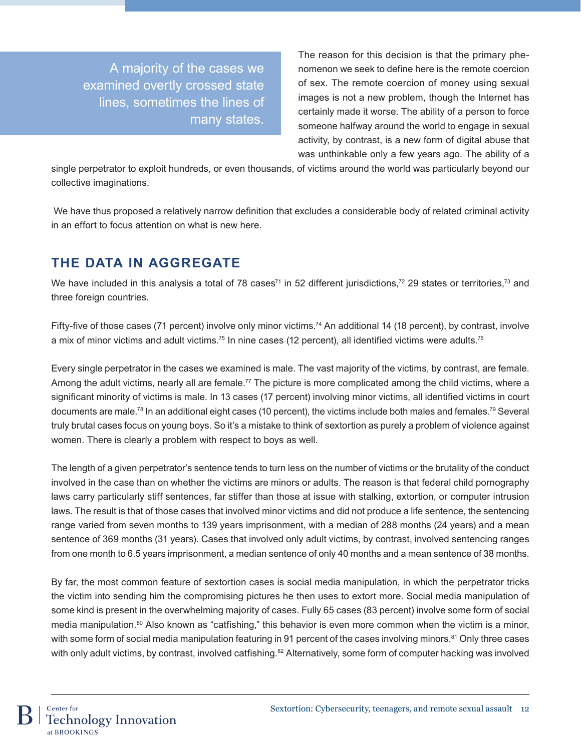A majority of the cases we examined overtly crossed state lines, sometimes the lines of many states.

The reason for this decision is that the primary phenomenon we seek to define here is the remote coercion of sex. The remote coercion of money using sexual images is not a new problem, though the Internet has certainly made it worse. The ability of a person to force someone halfway around the world to engage in sexual activity, by contrast, is a new form of digital abuse that was unthinkable only a few years ago. The ability of a

single perpetrator to exploit hundreds, or even thousands, of victims around the world was particularly beyond our collective imaginations.

 We have thus proposed a relatively narrow definition that excludes a considerable body of related criminal activity in an effort to focus attention on what is new here.

# **THE DATA IN AGGREGATE**

We have included in this analysis a total of 78 cases<sup>71</sup> in 52 different jurisdictions,<sup>72</sup> 29 states or territories,<sup>73</sup> and three foreign countries.

Fifty-five of those cases (71 percent) involve only minor victims.<sup>74</sup> An additional 14 (18 percent), by contrast, involve a mix of minor victims and adult victims.<sup>75</sup> In nine cases (12 percent), all identified victims were adults.<sup>76</sup>

Every single perpetrator in the cases we examined is male. The vast majority of the victims, by contrast, are female. Among the adult victims, nearly all are female.<sup>77</sup> The picture is more complicated among the child victims, where a significant minority of victims is male. In 13 cases (17 percent) involving minor victims, all identified victims in court documents are male.<sup>78</sup> In an additional eight cases (10 percent), the victims include both males and females.<sup>79</sup> Several truly brutal cases focus on young boys. So it's a mistake to think of sextortion as purely a problem of violence against women. There is clearly a problem with respect to boys as well.

The length of a given perpetrator's sentence tends to turn less on the number of victims or the brutality of the conduct involved in the case than on whether the victims are minors or adults. The reason is that federal child pornography laws carry particularly stiff sentences, far stiffer than those at issue with stalking, extortion, or computer intrusion laws. The result is that of those cases that involved minor victims and did not produce a life sentence, the sentencing range varied from seven months to 139 years imprisonment, with a median of 288 months (24 years) and a mean sentence of 369 months (31 years). Cases that involved only adult victims, by contrast, involved sentencing ranges from one month to 6.5 years imprisonment, a median sentence of only 40 months and a mean sentence of 38 months.

By far, the most common feature of sextortion cases is social media manipulation, in which the perpetrator tricks the victim into sending him the compromising pictures he then uses to extort more. Social media manipulation of some kind is present in the overwhelming majority of cases. Fully 65 cases (83 percent) involve some form of social media manipulation.<sup>80</sup> Also known as "catfishing," this behavior is even more common when the victim is a minor, with some form of social media manipulation featuring in 91 percent of the cases involving minors.<sup>81</sup> Only three cases with only adult victims, by contrast, involved catfishing.<sup>82</sup> Alternatively, some form of computer hacking was involved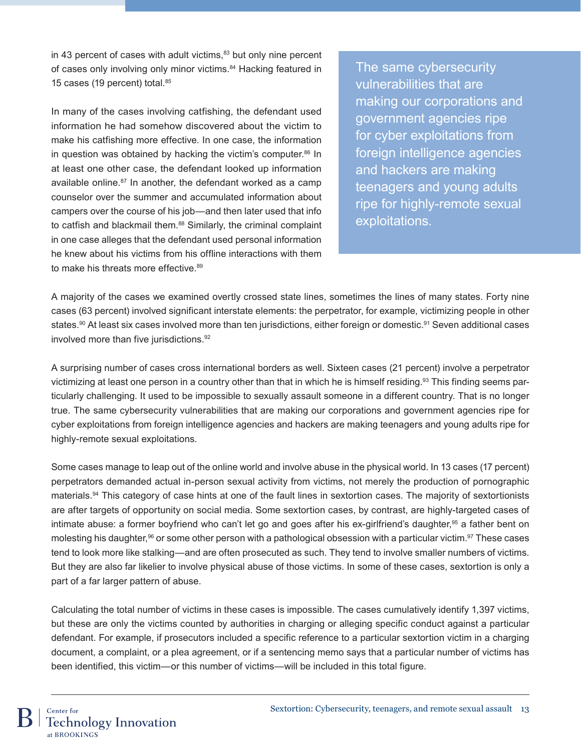in 43 percent of cases with adult victims, $83$  but only nine percent of cases only involving only minor victims.<sup>84</sup> Hacking featured in 15 cases (19 percent) total.<sup>85</sup>

In many of the cases involving catfishing, the defendant used information he had somehow discovered about the victim to make his catfishing more effective. In one case, the information in question was obtained by hacking the victim's computer.<sup>86</sup> In at least one other case, the defendant looked up information available online.<sup>87</sup> In another, the defendant worked as a camp counselor over the summer and accumulated information about campers over the course of his job—and then later used that info to catfish and blackmail them.<sup>88</sup> Similarly, the criminal complaint in one case alleges that the defendant used personal information he knew about his victims from his offline interactions with them to make his threats more effective.<sup>89</sup>

The same cybersecurity vulnerabilities that are making our corporations and government agencies ripe for cyber exploitations from foreign intelligence agencies and hackers are making teenagers and young adults ripe for highly-remote sexual exploitations.

A majority of the cases we examined overtly crossed state lines, sometimes the lines of many states. Forty nine cases (63 percent) involved significant interstate elements: the perpetrator, for example, victimizing people in other states.<sup>90</sup> At least six cases involved more than ten jurisdictions, either foreign or domestic.<sup>91</sup> Seven additional cases involved more than five jurisdictions.92

A surprising number of cases cross international borders as well. Sixteen cases (21 percent) involve a perpetrator victimizing at least one person in a country other than that in which he is himself residing.<sup>93</sup> This finding seems particularly challenging. It used to be impossible to sexually assault someone in a different country. That is no longer true. The same cybersecurity vulnerabilities that are making our corporations and government agencies ripe for cyber exploitations from foreign intelligence agencies and hackers are making teenagers and young adults ripe for highly-remote sexual exploitations.

Some cases manage to leap out of the online world and involve abuse in the physical world. In 13 cases (17 percent) perpetrators demanded actual in-person sexual activity from victims, not merely the production of pornographic materials.<sup>94</sup> This category of case hints at one of the fault lines in sextortion cases. The majority of sextortionists are after targets of opportunity on social media. Some sextortion cases, by contrast, are highly-targeted cases of intimate abuse: a former boyfriend who can't let go and goes after his ex-girlfriend's daughter,<sup>95</sup> a father bent on molesting his daughter,<sup>96</sup> or some other person with a pathological obsession with a particular victim.<sup>97</sup> These cases tend to look more like stalking—and are often prosecuted as such. They tend to involve smaller numbers of victims. But they are also far likelier to involve physical abuse of those victims. In some of these cases, sextortion is only a part of a far larger pattern of abuse.

Calculating the total number of victims in these cases is impossible. The cases cumulatively identify 1,397 victims, but these are only the victims counted by authorities in charging or alleging specific conduct against a particular defendant. For example, if prosecutors included a specific reference to a particular sextortion victim in a charging document, a complaint, or a plea agreement, or if a sentencing memo says that a particular number of victims has been identified, this victim—or this number of victims—will be included in this total figure.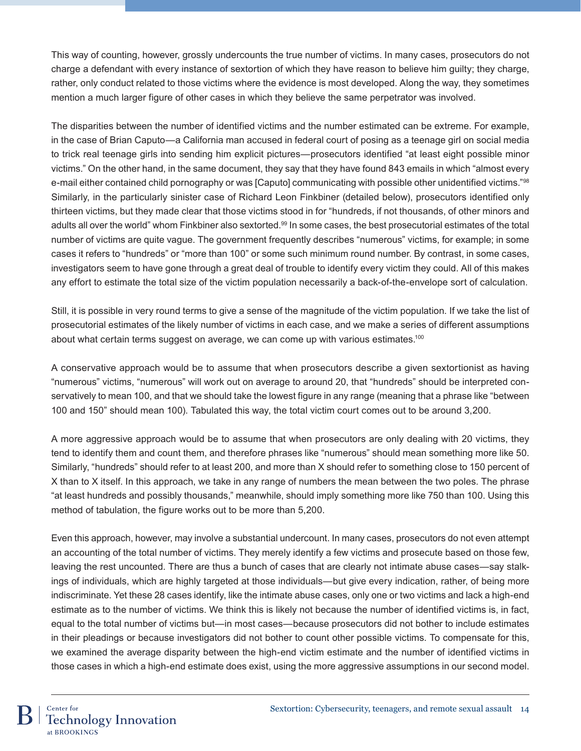This way of counting, however, grossly undercounts the true number of victims. In many cases, prosecutors do not charge a defendant with every instance of sextortion of which they have reason to believe him guilty; they charge, rather, only conduct related to those victims where the evidence is most developed. Along the way, they sometimes mention a much larger figure of other cases in which they believe the same perpetrator was involved.

The disparities between the number of identified victims and the number estimated can be extreme. For example, in the case of Brian Caputo—a California man accused in federal court of posing as a teenage girl on social media to trick real teenage girls into sending him explicit pictures—prosecutors identified "at least eight possible minor victims." On the other hand, in the same document, they say that they have found 843 emails in which "almost every e-mail either contained child pornography or was [Caputo] communicating with possible other unidentified victims."<sup>98</sup> Similarly, in the particularly sinister case of Richard Leon Finkbiner (detailed below), prosecutors identified only thirteen victims, but they made clear that those victims stood in for "hundreds, if not thousands, of other minors and adults all over the world" whom Finkbiner also sextorted.<sup>99</sup> In some cases, the best prosecutorial estimates of the total number of victims are quite vague. The government frequently describes "numerous" victims, for example; in some cases it refers to "hundreds" or "more than 100" or some such minimum round number. By contrast, in some cases, investigators seem to have gone through a great deal of trouble to identify every victim they could. All of this makes any effort to estimate the total size of the victim population necessarily a back-of-the-envelope sort of calculation.

Still, it is possible in very round terms to give a sense of the magnitude of the victim population. If we take the list of prosecutorial estimates of the likely number of victims in each case, and we make a series of different assumptions about what certain terms suggest on average, we can come up with various estimates.<sup>100</sup>

A conservative approach would be to assume that when prosecutors describe a given sextortionist as having "numerous" victims, "numerous" will work out on average to around 20, that "hundreds" should be interpreted conservatively to mean 100, and that we should take the lowest figure in any range (meaning that a phrase like "between 100 and 150" should mean 100). Tabulated this way, the total victim court comes out to be around 3,200.

A more aggressive approach would be to assume that when prosecutors are only dealing with 20 victims, they tend to identify them and count them, and therefore phrases like "numerous" should mean something more like 50. Similarly, "hundreds" should refer to at least 200, and more than X should refer to something close to 150 percent of X than to X itself. In this approach, we take in any range of numbers the mean between the two poles. The phrase "at least hundreds and possibly thousands," meanwhile, should imply something more like 750 than 100. Using this method of tabulation, the figure works out to be more than 5,200.

Even this approach, however, may involve a substantial undercount. In many cases, prosecutors do not even attempt an accounting of the total number of victims. They merely identify a few victims and prosecute based on those few, leaving the rest uncounted. There are thus a bunch of cases that are clearly not intimate abuse cases—say stalkings of individuals, which are highly targeted at those individuals—but give every indication, rather, of being more indiscriminate. Yet these 28 cases identify, like the intimate abuse cases, only one or two victims and lack a high-end estimate as to the number of victims. We think this is likely not because the number of identified victims is, in fact, equal to the total number of victims but—in most cases—because prosecutors did not bother to include estimates in their pleadings or because investigators did not bother to count other possible victims. To compensate for this, we examined the average disparity between the high-end victim estimate and the number of identified victims in those cases in which a high-end estimate does exist, using the more aggressive assumptions in our second model.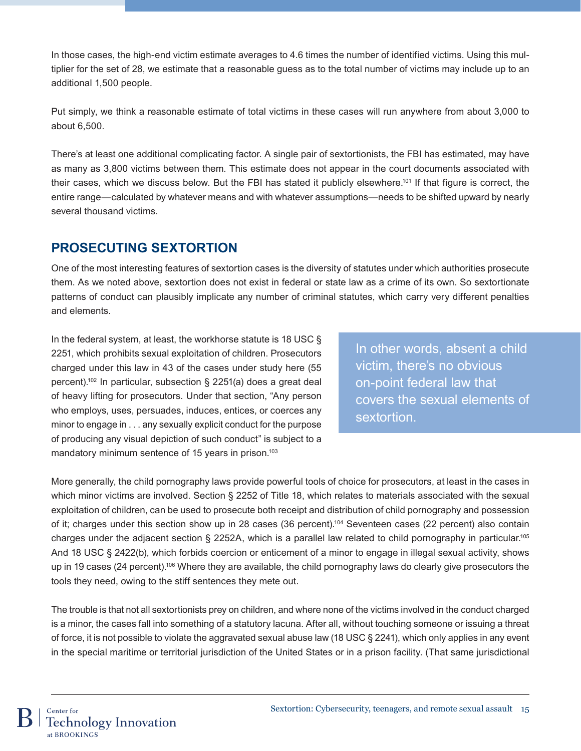In those cases, the high-end victim estimate averages to 4.6 times the number of identified victims. Using this multiplier for the set of 28, we estimate that a reasonable guess as to the total number of victims may include up to an additional 1,500 people.

Put simply, we think a reasonable estimate of total victims in these cases will run anywhere from about 3,000 to about 6,500.

There's at least one additional complicating factor. A single pair of sextortionists, the FBI has estimated, may have as many as 3,800 victims between them. This estimate does not appear in the court documents associated with their cases, which we discuss below. But the FBI has stated it publicly elsewhere.101 If that figure is correct, the entire range—calculated by whatever means and with whatever assumptions—needs to be shifted upward by nearly several thousand victims.

#### **PROSECUTING SEXTORTION**

One of the most interesting features of sextortion cases is the diversity of statutes under which authorities prosecute them. As we noted above, sextortion does not exist in federal or state law as a crime of its own. So sextortionate patterns of conduct can plausibly implicate any number of criminal statutes, which carry very different penalties and elements.

In the federal system, at least, the workhorse statute is 18 USC § 2251, which prohibits sexual exploitation of children. Prosecutors charged under this law in 43 of the cases under study here (55 percent).102 In particular, subsection § 2251(a) does a great deal of heavy lifting for prosecutors. Under that section, "Any person who employs, uses, persuades, induces, entices, or coerces any minor to engage in . . . any sexually explicit conduct for the purpose of producing any visual depiction of such conduct" is subject to a mandatory minimum sentence of 15 years in prison.<sup>103</sup>

In other words, absent a child victim, there's no obvious on-point federal law that covers the sexual elements of sextortion.

More generally, the child pornography laws provide powerful tools of choice for prosecutors, at least in the cases in which minor victims are involved. Section § 2252 of Title 18, which relates to materials associated with the sexual exploitation of children, can be used to prosecute both receipt and distribution of child pornography and possession of it; charges under this section show up in 28 cases (36 percent).104 Seventeen cases (22 percent) also contain charges under the adjacent section § 2252A, which is a parallel law related to child pornography in particular.105 And 18 USC § 2422(b), which forbids coercion or enticement of a minor to engage in illegal sexual activity, shows up in 19 cases (24 percent).<sup>106</sup> Where they are available, the child pornography laws do clearly give prosecutors the tools they need, owing to the stiff sentences they mete out.

The trouble is that not all sextortionists prey on children, and where none of the victims involved in the conduct charged is a minor, the cases fall into something of a statutory lacuna. After all, without touching someone or issuing a threat of force, it is not possible to violate the aggravated sexual abuse law (18 USC § 2241), which only applies in any event in the special maritime or territorial jurisdiction of the United States or in a prison facility. (That same jurisdictional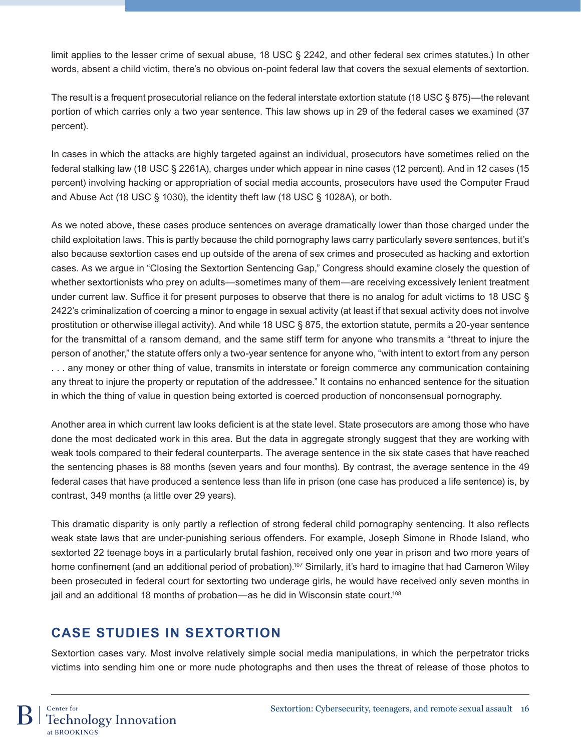limit applies to the lesser crime of sexual abuse, 18 USC § 2242, and other federal sex crimes statutes.) In other words, absent a child victim, there's no obvious on-point federal law that covers the sexual elements of sextortion.

The result is a frequent prosecutorial reliance on the federal interstate extortion statute (18 USC § 875)—the relevant portion of which carries only a two year sentence. This law shows up in 29 of the federal cases we examined (37 percent).

In cases in which the attacks are highly targeted against an individual, prosecutors have sometimes relied on the federal stalking law (18 USC § 2261A), charges under which appear in nine cases (12 percent). And in 12 cases (15 percent) involving hacking or appropriation of social media accounts, prosecutors have used the Computer Fraud and Abuse Act (18 USC § 1030), the identity theft law (18 USC § 1028A), or both.

As we noted above, these cases produce sentences on average dramatically lower than those charged under the child exploitation laws. This is partly because the child pornography laws carry particularly severe sentences, but it's also because sextortion cases end up outside of the arena of sex crimes and prosecuted as hacking and extortion cases. As we argue in "Closing the Sextortion Sentencing Gap," Congress should examine closely the question of whether sextortionists who prey on adults—sometimes many of them—are receiving excessively lenient treatment under current law. Suffice it for present purposes to observe that there is no analog for adult victims to 18 USC § 2422's criminalization of coercing a minor to engage in sexual activity (at least if that sexual activity does not involve prostitution or otherwise illegal activity). And while 18 USC § 875, the extortion statute, permits a 20-year sentence for the transmittal of a ransom demand, and the same stiff term for anyone who transmits a "threat to injure the person of another," the statute offers only a two-year sentence for anyone who, "with intent to extort from any person . . . any money or other thing of value, transmits in interstate or foreign commerce any communication containing any threat to injure the property or reputation of the addressee." It contains no enhanced sentence for the situation in which the thing of value in question being extorted is coerced production of nonconsensual pornography.

Another area in which current law looks deficient is at the state level. State prosecutors are among those who have done the most dedicated work in this area. But the data in aggregate strongly suggest that they are working with weak tools compared to their federal counterparts. The average sentence in the six state cases that have reached the sentencing phases is 88 months (seven years and four months). By contrast, the average sentence in the 49 federal cases that have produced a sentence less than life in prison (one case has produced a life sentence) is, by contrast, 349 months (a little over 29 years).

This dramatic disparity is only partly a reflection of strong federal child pornography sentencing. It also reflects weak state laws that are under-punishing serious offenders. For example, Joseph Simone in Rhode Island, who sextorted 22 teenage boys in a particularly brutal fashion, received only one year in prison and two more years of home confinement (and an additional period of probation).<sup>107</sup> Similarly, it's hard to imagine that had Cameron Wiley been prosecuted in federal court for sextorting two underage girls, he would have received only seven months in jail and an additional 18 months of probation—as he did in Wisconsin state court.108

## **CASE STUDIES IN SEXTORTION**

Sextortion cases vary. Most involve relatively simple social media manipulations, in which the perpetrator tricks victims into sending him one or more nude photographs and then uses the threat of release of those photos to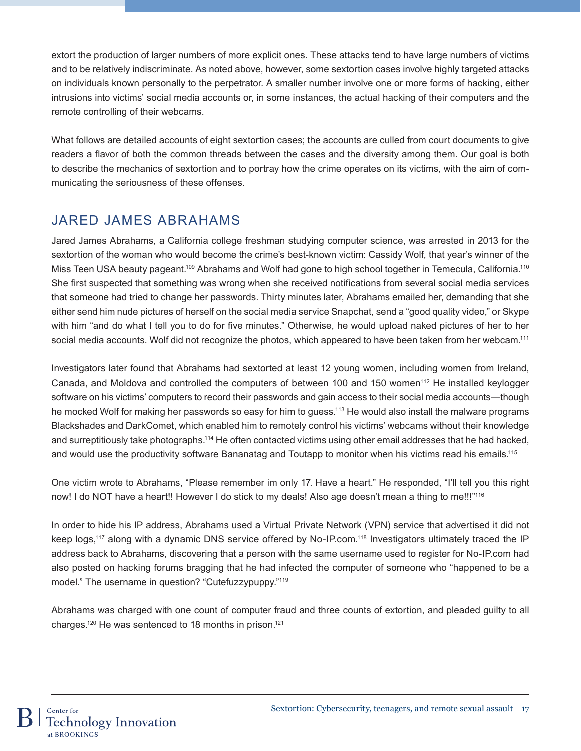extort the production of larger numbers of more explicit ones. These attacks tend to have large numbers of victims and to be relatively indiscriminate. As noted above, however, some sextortion cases involve highly targeted attacks on individuals known personally to the perpetrator. A smaller number involve one or more forms of hacking, either intrusions into victims' social media accounts or, in some instances, the actual hacking of their computers and the remote controlling of their webcams.

What follows are detailed accounts of eight sextortion cases; the accounts are culled from court documents to give readers a flavor of both the common threads between the cases and the diversity among them. Our goal is both to describe the mechanics of sextortion and to portray how the crime operates on its victims, with the aim of communicating the seriousness of these offenses.

# JARED JAMES ABRAHAMS

Jared James Abrahams, a California college freshman studying computer science, was arrested in 2013 for the sextortion of the woman who would become the crime's best-known victim: Cassidy Wolf, that year's winner of the Miss Teen USA beauty pageant.<sup>109</sup> Abrahams and Wolf had gone to high school together in Temecula, California.<sup>110</sup> She first suspected that something was wrong when she received notifications from several social media services that someone had tried to change her passwords. Thirty minutes later, Abrahams emailed her, demanding that she either send him nude pictures of herself on the social media service Snapchat, send a "good quality video," or Skype with him "and do what I tell you to do for five minutes." Otherwise, he would upload naked pictures of her to her social media accounts. Wolf did not recognize the photos, which appeared to have been taken from her webcam.<sup>111</sup>

Investigators later found that Abrahams had sextorted at least 12 young women, including women from Ireland, Canada, and Moldova and controlled the computers of between 100 and 150 women<sup>112</sup> He installed keylogger software on his victims' computers to record their passwords and gain access to their social media accounts—though he mocked Wolf for making her passwords so easy for him to guess.<sup>113</sup> He would also install the malware programs Blackshades and DarkComet, which enabled him to remotely control his victims' webcams without their knowledge and surreptitiously take photographs.114 He often contacted victims using other email addresses that he had hacked, and would use the productivity software Bananatag and Toutapp to monitor when his victims read his emails.115

One victim wrote to Abrahams, "Please remember im only 17. Have a heart." He responded, "I'll tell you this right now! I do NOT have a heart!! However I do stick to my deals! Also age doesn't mean a thing to me!!!"<sup>116</sup>

In order to hide his IP address, Abrahams used a Virtual Private Network (VPN) service that advertised it did not keep logs,117 along with a dynamic DNS service offered by No-IP.com.118 Investigators ultimately traced the IP address back to Abrahams, discovering that a person with the same username used to register for No-IP.com had also posted on hacking forums bragging that he had infected the computer of someone who "happened to be a model." The username in question? "Cutefuzzypuppy."119

Abrahams was charged with one count of computer fraud and three counts of extortion, and pleaded guilty to all charges.<sup>120</sup> He was sentenced to 18 months in prison.<sup>121</sup>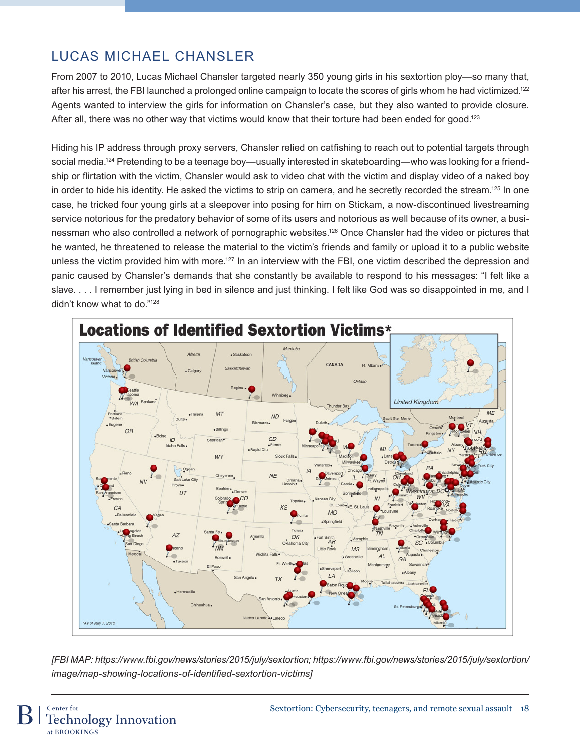# LUCAS MICHAEL CHANSLER

From 2007 to 2010, Lucas Michael Chansler targeted nearly 350 young girls in his sextortion ploy—so many that, after his arrest, the FBI launched a prolonged online campaign to locate the scores of girls whom he had victimized.<sup>122</sup> Agents wanted to interview the girls for information on Chansler's case, but they also wanted to provide closure. After all, there was no other way that victims would know that their torture had been ended for good.<sup>123</sup>

Hiding his IP address through proxy servers, Chansler relied on catfishing to reach out to potential targets through social media.<sup>124</sup> Pretending to be a teenage boy—usually interested in skateboarding—who was looking for a friendship or flirtation with the victim, Chansler would ask to video chat with the victim and display video of a naked boy in order to hide his identity. He asked the victims to strip on camera, and he secretly recorded the stream.125 In one case, he tricked four young girls at a sleepover into posing for him on Stickam, a now-discontinued livestreaming service notorious for the predatory behavior of some of its users and notorious as well because of its owner, a businessman who also controlled a network of pornographic websites.126 Once Chansler had the video or pictures that he wanted, he threatened to release the material to the victim's friends and family or upload it to a public website unless the victim provided him with more.<sup>127</sup> In an interview with the FBI, one victim described the depression and panic caused by Chansler's demands that she constantly be available to respond to his messages: "I felt like a slave. . . . I remember just lying in bed in silence and just thinking. I felt like God was so disappointed in me, and I didn't know what to do."128



*[FBI MAP: https://www.fbi.gov/news/stories/2015/july/sextortion; https://www.fbi.gov/news/stories/2015/july/sextortion/ image/map-showing-locations-of-identified-sextortion-victims]*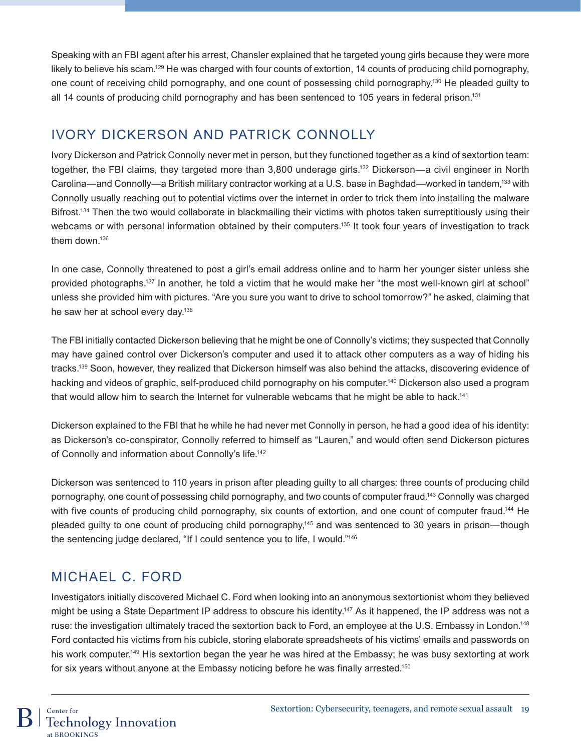Speaking with an FBI agent after his arrest, Chansler explained that he targeted young girls because they were more likely to believe his scam.129 He was charged with four counts of extortion, 14 counts of producing child pornography, one count of receiving child pornography, and one count of possessing child pornography.130 He pleaded guilty to all 14 counts of producing child pornography and has been sentenced to 105 years in federal prison.<sup>131</sup>

# IVORY DICKERSON AND PATRICK CONNOLLY

Ivory Dickerson and Patrick Connolly never met in person, but they functioned together as a kind of sextortion team: together, the FBI claims, they targeted more than 3,800 underage girls.132 Dickerson—a civil engineer in North Carolina—and Connolly—a British military contractor working at a U.S. base in Baghdad—worked in tandem,133 with Connolly usually reaching out to potential victims over the internet in order to trick them into installing the malware Bifrost.<sup>134</sup> Then the two would collaborate in blackmailing their victims with photos taken surreptitiously using their webcams or with personal information obtained by their computers.<sup>135</sup> It took four years of investigation to track them down.136

In one case, Connolly threatened to post a girl's email address online and to harm her younger sister unless she provided photographs.<sup>137</sup> In another, he told a victim that he would make her "the most well-known girl at school" unless she provided him with pictures. "Are you sure you want to drive to school tomorrow?" he asked, claiming that he saw her at school every day.138

The FBI initially contacted Dickerson believing that he might be one of Connolly's victims; they suspected that Connolly may have gained control over Dickerson's computer and used it to attack other computers as a way of hiding his tracks.139 Soon, however, they realized that Dickerson himself was also behind the attacks, discovering evidence of hacking and videos of graphic, self-produced child pornography on his computer.140 Dickerson also used a program that would allow him to search the Internet for vulnerable webcams that he might be able to hack.<sup>141</sup>

Dickerson explained to the FBI that he while he had never met Connolly in person, he had a good idea of his identity: as Dickerson's co-conspirator, Connolly referred to himself as "Lauren," and would often send Dickerson pictures of Connolly and information about Connolly's life.<sup>142</sup>

Dickerson was sentenced to 110 years in prison after pleading guilty to all charges: three counts of producing child pornography, one count of possessing child pornography, and two counts of computer fraud.143 Connolly was charged with five counts of producing child pornography, six counts of extortion, and one count of computer fraud.<sup>144</sup> He pleaded guilty to one count of producing child pornography,145 and was sentenced to 30 years in prison—though the sentencing judge declared, "If I could sentence you to life, I would."146

# MICHAEL C. FORD

Investigators initially discovered Michael C. Ford when looking into an anonymous sextortionist whom they believed might be using a State Department IP address to obscure his identity.<sup>147</sup> As it happened, the IP address was not a ruse: the investigation ultimately traced the sextortion back to Ford, an employee at the U.S. Embassy in London.148 Ford contacted his victims from his cubicle, storing elaborate spreadsheets of his victims' emails and passwords on his work computer.149 His sextortion began the year he was hired at the Embassy; he was busy sextorting at work for six years without anyone at the Embassy noticing before he was finally arrested.<sup>150</sup>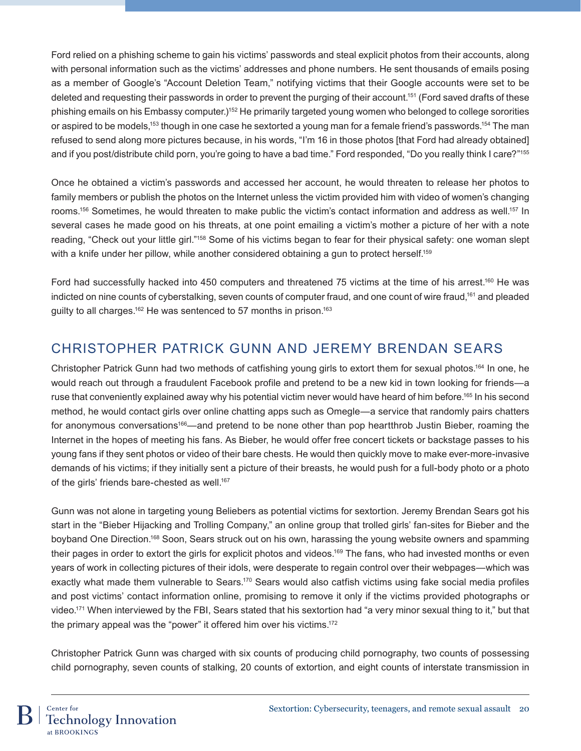Ford relied on a phishing scheme to gain his victims' passwords and steal explicit photos from their accounts, along with personal information such as the victims' addresses and phone numbers. He sent thousands of emails posing as a member of Google's "Account Deletion Team," notifying victims that their Google accounts were set to be deleted and requesting their passwords in order to prevent the purging of their account.151 (Ford saved drafts of these phishing emails on his Embassy computer.)152 He primarily targeted young women who belonged to college sororities or aspired to be models,<sup>153</sup> though in one case he sextorted a young man for a female friend's passwords.<sup>154</sup> The man refused to send along more pictures because, in his words, "I'm 16 in those photos [that Ford had already obtained] and if you post/distribute child porn, you're going to have a bad time." Ford responded, "Do you really think I care?"<sup>155</sup>

Once he obtained a victim's passwords and accessed her account, he would threaten to release her photos to family members or publish the photos on the Internet unless the victim provided him with video of women's changing rooms.156 Sometimes, he would threaten to make public the victim's contact information and address as well.157 In several cases he made good on his threats, at one point emailing a victim's mother a picture of her with a note reading, "Check out your little girl."158 Some of his victims began to fear for their physical safety: one woman slept with a knife under her pillow, while another considered obtaining a gun to protect herself.<sup>159</sup>

Ford had successfully hacked into 450 computers and threatened 75 victims at the time of his arrest.<sup>160</sup> He was indicted on nine counts of cyberstalking, seven counts of computer fraud, and one count of wire fraud,<sup>161</sup> and pleaded guilty to all charges.<sup>162</sup> He was sentenced to 57 months in prison.<sup>163</sup>

# CHRISTOPHER PATRICK GUNN AND JEREMY BRENDAN SEARS

Christopher Patrick Gunn had two methods of catfishing young girls to extort them for sexual photos.<sup>164</sup> In one, he would reach out through a fraudulent Facebook profile and pretend to be a new kid in town looking for friends—a ruse that conveniently explained away why his potential victim never would have heard of him before.165 In his second method, he would contact girls over online chatting apps such as Omegle—a service that randomly pairs chatters for anonymous conversations<sup>166</sup>—and pretend to be none other than pop heartthrob Justin Bieber, roaming the Internet in the hopes of meeting his fans. As Bieber, he would offer free concert tickets or backstage passes to his young fans if they sent photos or video of their bare chests. He would then quickly move to make ever-more-invasive demands of his victims; if they initially sent a picture of their breasts, he would push for a full-body photo or a photo of the girls' friends bare-chested as well.<sup>167</sup>

Gunn was not alone in targeting young Beliebers as potential victims for sextortion. Jeremy Brendan Sears got his start in the "Bieber Hijacking and Trolling Company," an online group that trolled girls' fan-sites for Bieber and the boyband One Direction.168 Soon, Sears struck out on his own, harassing the young website owners and spamming their pages in order to extort the girls for explicit photos and videos.169 The fans, who had invested months or even years of work in collecting pictures of their idols, were desperate to regain control over their webpages—which was exactly what made them vulnerable to Sears.<sup>170</sup> Sears would also catfish victims using fake social media profiles and post victims' contact information online, promising to remove it only if the victims provided photographs or video.171 When interviewed by the FBI, Sears stated that his sextortion had "a very minor sexual thing to it," but that the primary appeal was the "power" it offered him over his victims.172

Christopher Patrick Gunn was charged with six counts of producing child pornography, two counts of possessing child pornography, seven counts of stalking, 20 counts of extortion, and eight counts of interstate transmission in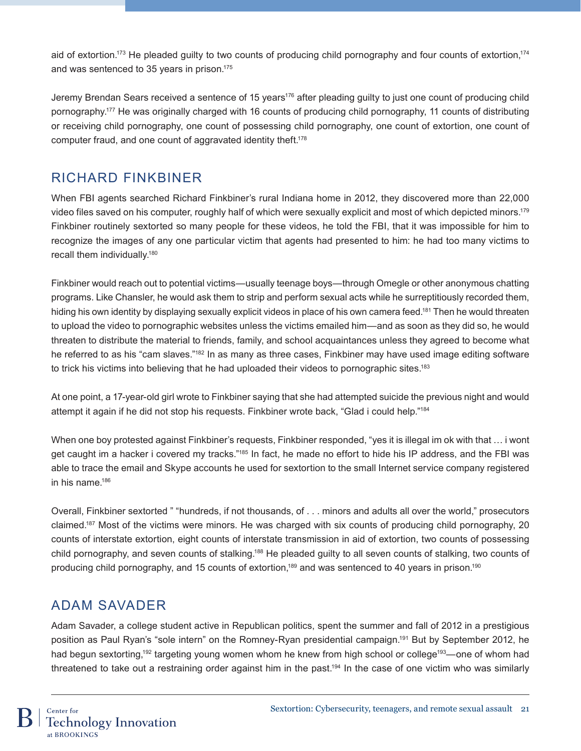aid of extortion.<sup>173</sup> He pleaded guilty to two counts of producing child pornography and four counts of extortion,<sup>174</sup> and was sentenced to 35 years in prison.175

Jeremy Brendan Sears received a sentence of 15 years<sup>176</sup> after pleading guilty to just one count of producing child pornography.177 He was originally charged with 16 counts of producing child pornography, 11 counts of distributing or receiving child pornography, one count of possessing child pornography, one count of extortion, one count of computer fraud, and one count of aggravated identity theft.<sup>178</sup>

#### RICHARD FINKBINER

When FBI agents searched Richard Finkbiner's rural Indiana home in 2012, they discovered more than 22,000 video files saved on his computer, roughly half of which were sexually explicit and most of which depicted minors.179 Finkbiner routinely sextorted so many people for these videos, he told the FBI, that it was impossible for him to recognize the images of any one particular victim that agents had presented to him: he had too many victims to recall them individually.180

Finkbiner would reach out to potential victims—usually teenage boys—through Omegle or other anonymous chatting programs. Like Chansler, he would ask them to strip and perform sexual acts while he surreptitiously recorded them, hiding his own identity by displaying sexually explicit videos in place of his own camera feed.181 Then he would threaten to upload the video to pornographic websites unless the victims emailed him—and as soon as they did so, he would threaten to distribute the material to friends, family, and school acquaintances unless they agreed to become what he referred to as his "cam slaves."182 In as many as three cases, Finkbiner may have used image editing software to trick his victims into believing that he had uploaded their videos to pornographic sites.<sup>183</sup>

At one point, a 17-year-old girl wrote to Finkbiner saying that she had attempted suicide the previous night and would attempt it again if he did not stop his requests. Finkbiner wrote back, "Glad i could help."184

When one boy protested against Finkbiner's requests, Finkbiner responded, "yes it is illegal im ok with that ... i wont get caught im a hacker i covered my tracks."<sup>185</sup> In fact, he made no effort to hide his IP address, and the FBI was able to trace the email and Skype accounts he used for sextortion to the small Internet service company registered in his name.<sup>186</sup>

Overall, Finkbiner sextorted " "hundreds, if not thousands, of . . . minors and adults all over the world," prosecutors claimed.187 Most of the victims were minors. He was charged with six counts of producing child pornography, 20 counts of interstate extortion, eight counts of interstate transmission in aid of extortion, two counts of possessing child pornography, and seven counts of stalking.188 He pleaded guilty to all seven counts of stalking, two counts of producing child pornography, and 15 counts of extortion,189 and was sentenced to 40 years in prison.190

## ADAM SAVADER

Adam Savader, a college student active in Republican politics, spent the summer and fall of 2012 in a prestigious position as Paul Ryan's "sole intern" on the Romney-Ryan presidential campaign.191 But by September 2012, he had begun sextorting,<sup>192</sup> targeting young women whom he knew from high school or college<sup>193</sup>—one of whom had threatened to take out a restraining order against him in the past.194 In the case of one victim who was similarly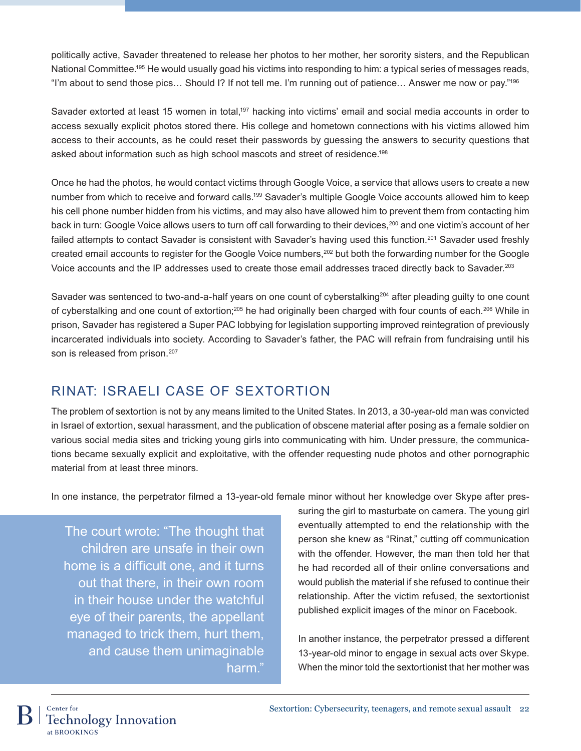politically active, Savader threatened to release her photos to her mother, her sorority sisters, and the Republican National Committee.<sup>195</sup> He would usually goad his victims into responding to him: a typical series of messages reads, "I'm about to send those pics… Should I? If not tell me. I'm running out of patience… Answer me now or pay."196

Savader extorted at least 15 women in total,<sup>197</sup> hacking into victims' email and social media accounts in order to access sexually explicit photos stored there. His college and hometown connections with his victims allowed him access to their accounts, as he could reset their passwords by guessing the answers to security questions that asked about information such as high school mascots and street of residence.198

Once he had the photos, he would contact victims through Google Voice, a service that allows users to create a new number from which to receive and forward calls.199 Savader's multiple Google Voice accounts allowed him to keep his cell phone number hidden from his victims, and may also have allowed him to prevent them from contacting him back in turn: Google Voice allows users to turn off call forwarding to their devices,200 and one victim's account of her failed attempts to contact Savader is consistent with Savader's having used this function.<sup>201</sup> Savader used freshly created email accounts to register for the Google Voice numbers,<sup>202</sup> but both the forwarding number for the Google Voice accounts and the IP addresses used to create those email addresses traced directly back to Savader.<sup>203</sup>

Savader was sentenced to two-and-a-half years on one count of cyberstalking<sup>204</sup> after pleading guilty to one count of cyberstalking and one count of extortion;<sup>205</sup> he had originally been charged with four counts of each.<sup>206</sup> While in prison, Savader has registered a Super PAC lobbying for legislation supporting improved reintegration of previously incarcerated individuals into society. According to Savader's father, the PAC will refrain from fundraising until his son is released from prison.<sup>207</sup>

# RINAT: ISRAELI CASE OF SEXTORTION

The problem of sextortion is not by any means limited to the United States. In 2013, a 30-year-old man was convicted in Israel of extortion, sexual harassment, and the publication of obscene material after posing as a female soldier on various social media sites and tricking young girls into communicating with him. Under pressure, the communications became sexually explicit and exploitative, with the offender requesting nude photos and other pornographic material from at least three minors.

In one instance, the perpetrator filmed a 13-year-old female minor without her knowledge over Skype after pres-

The court wrote: "The thought that children are unsafe in their own home is a difficult one, and it turns out that there, in their own room in their house under the watchful eye of their parents, the appellant managed to trick them, hurt them, and cause them unimaginable harm."

suring the girl to masturbate on camera. The young girl eventually attempted to end the relationship with the person she knew as "Rinat," cutting off communication with the offender. However, the man then told her that he had recorded all of their online conversations and would publish the material if she refused to continue their relationship. After the victim refused, the sextortionist published explicit images of the minor on Facebook.

In another instance, the perpetrator pressed a different 13-year-old minor to engage in sexual acts over Skype. When the minor told the sextortionist that her mother was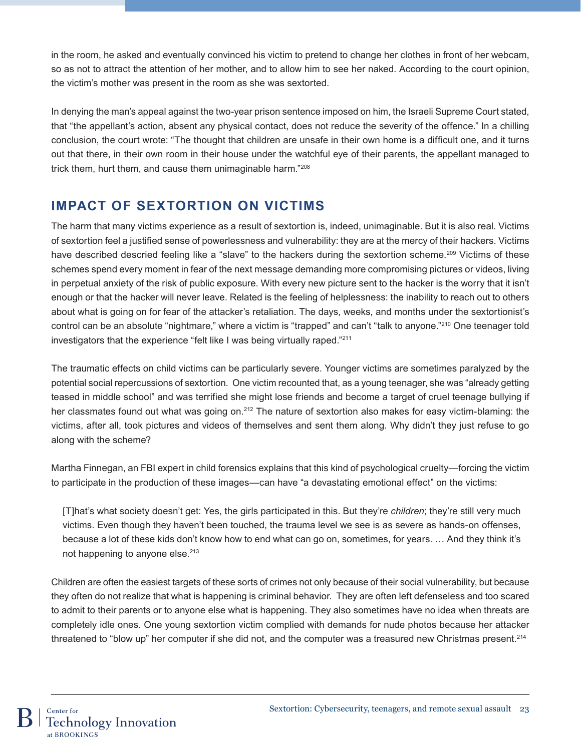in the room, he asked and eventually convinced his victim to pretend to change her clothes in front of her webcam, so as not to attract the attention of her mother, and to allow him to see her naked. According to the court opinion, the victim's mother was present in the room as she was sextorted.

In denying the man's appeal against the two-year prison sentence imposed on him, the Israeli Supreme Court stated, that "the appellant's action, absent any physical contact, does not reduce the severity of the offence." In a chilling conclusion, the court wrote: "The thought that children are unsafe in their own home is a difficult one, and it turns out that there, in their own room in their house under the watchful eye of their parents, the appellant managed to trick them, hurt them, and cause them unimaginable harm."208

## **IMPACT OF SEXTORTION ON VICTIMS**

The harm that many victims experience as a result of sextortion is, indeed, unimaginable. But it is also real. Victims of sextortion feel a justified sense of powerlessness and vulnerability: they are at the mercy of their hackers. Victims have described descried feeling like a "slave" to the hackers during the sextortion scheme.<sup>209</sup> Victims of these schemes spend every moment in fear of the next message demanding more compromising pictures or videos, living in perpetual anxiety of the risk of public exposure. With every new picture sent to the hacker is the worry that it isn't enough or that the hacker will never leave. Related is the feeling of helplessness: the inability to reach out to others about what is going on for fear of the attacker's retaliation. The days, weeks, and months under the sextortionist's control can be an absolute "nightmare," where a victim is "trapped" and can't "talk to anyone."210 One teenager told investigators that the experience "felt like I was being virtually raped."211

The traumatic effects on child victims can be particularly severe. Younger victims are sometimes paralyzed by the potential social repercussions of sextortion. One victim recounted that, as a young teenager, she was "already getting teased in middle school" and was terrified she might lose friends and become a target of cruel teenage bullying if her classmates found out what was going on.<sup>212</sup> The nature of sextortion also makes for easy victim-blaming: the victims, after all, took pictures and videos of themselves and sent them along. Why didn't they just refuse to go along with the scheme?

Martha Finnegan, an FBI expert in child forensics explains that this kind of psychological cruelty—forcing the victim to participate in the production of these images—can have "a devastating emotional effect" on the victims:

[T]hat's what society doesn't get: Yes, the girls participated in this. But they're *children*; they're still very much victims. Even though they haven't been touched, the trauma level we see is as severe as hands-on offenses, because a lot of these kids don't know how to end what can go on, sometimes, for years. … And they think it's not happening to anyone else.<sup>213</sup>

Children are often the easiest targets of these sorts of crimes not only because of their social vulnerability, but because they often do not realize that what is happening is criminal behavior. They are often left defenseless and too scared to admit to their parents or to anyone else what is happening. They also sometimes have no idea when threats are completely idle ones. One young sextortion victim complied with demands for nude photos because her attacker threatened to "blow up" her computer if she did not, and the computer was a treasured new Christmas present.214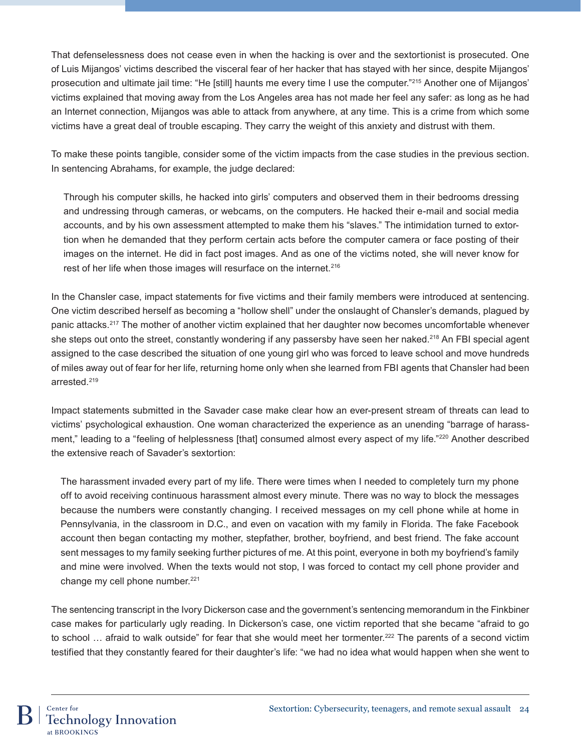That defenselessness does not cease even in when the hacking is over and the sextortionist is prosecuted. One of Luis Mijangos' victims described the visceral fear of her hacker that has stayed with her since, despite Mijangos' prosecution and ultimate jail time: "He [still] haunts me every time I use the computer."215 Another one of Mijangos' victims explained that moving away from the Los Angeles area has not made her feel any safer: as long as he had an Internet connection, Mijangos was able to attack from anywhere, at any time. This is a crime from which some victims have a great deal of trouble escaping. They carry the weight of this anxiety and distrust with them.

To make these points tangible, consider some of the victim impacts from the case studies in the previous section. In sentencing Abrahams, for example, the judge declared:

Through his computer skills, he hacked into girls' computers and observed them in their bedrooms dressing and undressing through cameras, or webcams, on the computers. He hacked their e-mail and social media accounts, and by his own assessment attempted to make them his "slaves." The intimidation turned to extortion when he demanded that they perform certain acts before the computer camera or face posting of their images on the internet. He did in fact post images. And as one of the victims noted, she will never know for rest of her life when those images will resurface on the internet.<sup>216</sup>

In the Chansler case, impact statements for five victims and their family members were introduced at sentencing. One victim described herself as becoming a "hollow shell" under the onslaught of Chansler's demands, plagued by panic attacks.217 The mother of another victim explained that her daughter now becomes uncomfortable whenever she steps out onto the street, constantly wondering if any passersby have seen her naked.<sup>218</sup> An FBI special agent assigned to the case described the situation of one young girl who was forced to leave school and move hundreds of miles away out of fear for her life, returning home only when she learned from FBI agents that Chansler had been arrested.219

Impact statements submitted in the Savader case make clear how an ever-present stream of threats can lead to victims' psychological exhaustion. One woman characterized the experience as an unending "barrage of harassment," leading to a "feeling of helplessness [that] consumed almost every aspect of my life."<sup>220</sup> Another described the extensive reach of Savader's sextortion:

The harassment invaded every part of my life. There were times when I needed to completely turn my phone off to avoid receiving continuous harassment almost every minute. There was no way to block the messages because the numbers were constantly changing. I received messages on my cell phone while at home in Pennsylvania, in the classroom in D.C., and even on vacation with my family in Florida. The fake Facebook account then began contacting my mother, stepfather, brother, boyfriend, and best friend. The fake account sent messages to my family seeking further pictures of me. At this point, everyone in both my boyfriend's family and mine were involved. When the texts would not stop, I was forced to contact my cell phone provider and change my cell phone number.<sup>221</sup>

The sentencing transcript in the Ivory Dickerson case and the government's sentencing memorandum in the Finkbiner case makes for particularly ugly reading. In Dickerson's case, one victim reported that she became "afraid to go to school ... afraid to walk outside" for fear that she would meet her tormenter.<sup>222</sup> The parents of a second victim testified that they constantly feared for their daughter's life: "we had no idea what would happen when she went to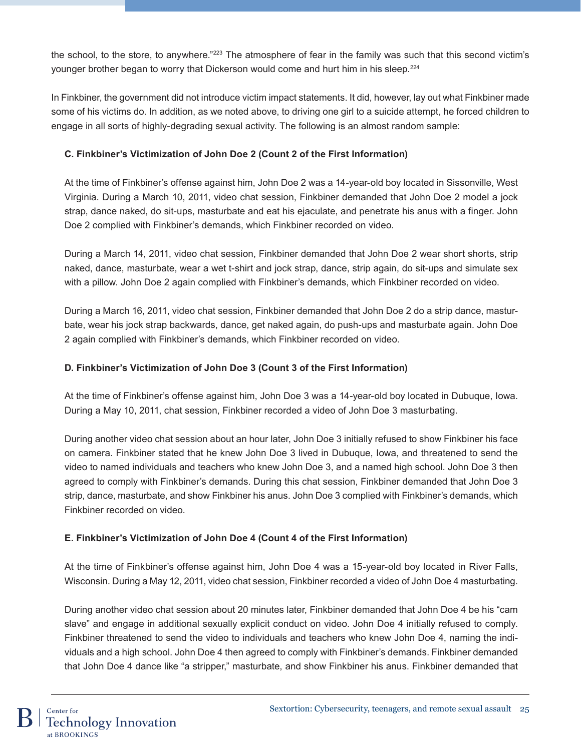the school, to the store, to anywhere."223 The atmosphere of fear in the family was such that this second victim's younger brother began to worry that Dickerson would come and hurt him in his sleep.<sup>224</sup>

In Finkbiner, the government did not introduce victim impact statements. It did, however, lay out what Finkbiner made some of his victims do. In addition, as we noted above, to driving one girl to a suicide attempt, he forced children to engage in all sorts of highly-degrading sexual activity. The following is an almost random sample:

#### **C. Finkbiner's Victimization of John Doe 2 (Count 2 of the First Information)**

At the time of Finkbiner's offense against him, John Doe 2 was a 14-year-old boy located in Sissonville, West Virginia. During a March 10, 2011, video chat session, Finkbiner demanded that John Doe 2 model a jock strap, dance naked, do sit-ups, masturbate and eat his ejaculate, and penetrate his anus with a finger. John Doe 2 complied with Finkbiner's demands, which Finkbiner recorded on video.

During a March 14, 2011, video chat session, Finkbiner demanded that John Doe 2 wear short shorts, strip naked, dance, masturbate, wear a wet t-shirt and jock strap, dance, strip again, do sit-ups and simulate sex with a pillow. John Doe 2 again complied with Finkbiner's demands, which Finkbiner recorded on video.

During a March 16, 2011, video chat session, Finkbiner demanded that John Doe 2 do a strip dance, masturbate, wear his jock strap backwards, dance, get naked again, do push-ups and masturbate again. John Doe 2 again complied with Finkbiner's demands, which Finkbiner recorded on video.

#### **D. Finkbiner's Victimization of John Doe 3 (Count 3 of the First Information)**

At the time of Finkbiner's offense against him, John Doe 3 was a 14-year-old boy located in Dubuque, Iowa. During a May 10, 2011, chat session, Finkbiner recorded a video of John Doe 3 masturbating.

During another video chat session about an hour later, John Doe 3 initially refused to show Finkbiner his face on camera. Finkbiner stated that he knew John Doe 3 lived in Dubuque, Iowa, and threatened to send the video to named individuals and teachers who knew John Doe 3, and a named high school. John Doe 3 then agreed to comply with Finkbiner's demands. During this chat session, Finkbiner demanded that John Doe 3 strip, dance, masturbate, and show Finkbiner his anus. John Doe 3 complied with Finkbiner's demands, which Finkbiner recorded on video.

#### **E. Finkbiner's Victimization of John Doe 4 (Count 4 of the First Information)**

At the time of Finkbiner's offense against him, John Doe 4 was a 15-year-old boy located in River Falls, Wisconsin. During a May 12, 2011, video chat session, Finkbiner recorded a video of John Doe 4 masturbating.

During another video chat session about 20 minutes later, Finkbiner demanded that John Doe 4 be his "cam slave" and engage in additional sexually explicit conduct on video. John Doe 4 initially refused to comply. Finkbiner threatened to send the video to individuals and teachers who knew John Doe 4, naming the individuals and a high school. John Doe 4 then agreed to comply with Finkbiner's demands. Finkbiner demanded that John Doe 4 dance like "a stripper," masturbate, and show Finkbiner his anus. Finkbiner demanded that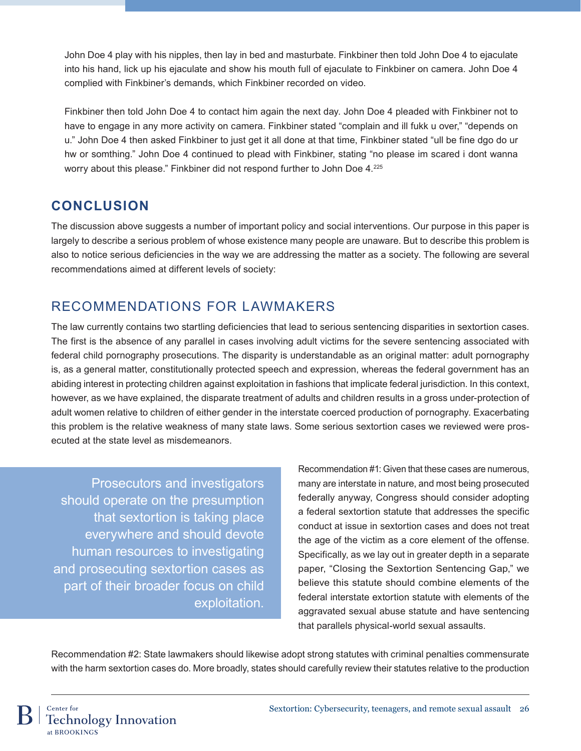John Doe 4 play with his nipples, then lay in bed and masturbate. Finkbiner then told John Doe 4 to ejaculate into his hand, lick up his ejaculate and show his mouth full of ejaculate to Finkbiner on camera. John Doe 4 complied with Finkbiner's demands, which Finkbiner recorded on video.

Finkbiner then told John Doe 4 to contact him again the next day. John Doe 4 pleaded with Finkbiner not to have to engage in any more activity on camera. Finkbiner stated "complain and ill fukk u over," "depends on u." John Doe 4 then asked Finkbiner to just get it all done at that time, Finkbiner stated "ull be fine dgo do ur hw or somthing." John Doe 4 continued to plead with Finkbiner, stating "no please im scared i dont wanna worry about this please." Finkbiner did not respond further to John Doe 4.225

## **CONCLUSION**

The discussion above suggests a number of important policy and social interventions. Our purpose in this paper is largely to describe a serious problem of whose existence many people are unaware. But to describe this problem is also to notice serious deficiencies in the way we are addressing the matter as a society. The following are several recommendations aimed at different levels of society:

# RECOMMENDATIONS FOR LAWMAKERS

The law currently contains two startling deficiencies that lead to serious sentencing disparities in sextortion cases. The first is the absence of any parallel in cases involving adult victims for the severe sentencing associated with federal child pornography prosecutions. The disparity is understandable as an original matter: adult pornography is, as a general matter, constitutionally protected speech and expression, whereas the federal government has an abiding interest in protecting children against exploitation in fashions that implicate federal jurisdiction. In this context, however, as we have explained, the disparate treatment of adults and children results in a gross under-protection of adult women relative to children of either gender in the interstate coerced production of pornography. Exacerbating this problem is the relative weakness of many state laws. Some serious sextortion cases we reviewed were prosecuted at the state level as misdemeanors.

Prosecutors and investigators should operate on the presumption that sextortion is taking place everywhere and should devote human resources to investigating and prosecuting sextortion cases as part of their broader focus on child exploitation.

Recommendation #1: Given that these cases are numerous, many are interstate in nature, and most being prosecuted federally anyway, Congress should consider adopting a federal sextortion statute that addresses the specific conduct at issue in sextortion cases and does not treat the age of the victim as a core element of the offense. Specifically, as we lay out in greater depth in a separate paper, "Closing the Sextortion Sentencing Gap," we believe this statute should combine elements of the federal interstate extortion statute with elements of the aggravated sexual abuse statute and have sentencing that parallels physical-world sexual assaults.

Recommendation #2: State lawmakers should likewise adopt strong statutes with criminal penalties commensurate with the harm sextortion cases do. More broadly, states should carefully review their statutes relative to the production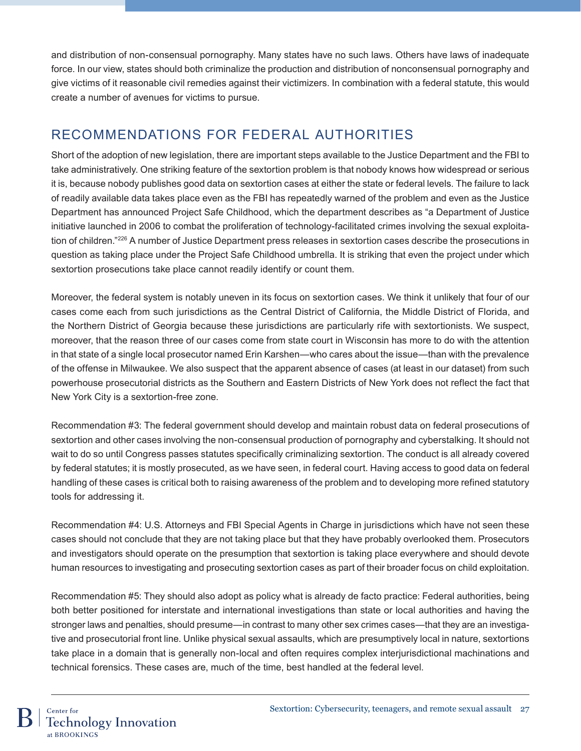and distribution of non-consensual pornography. Many states have no such laws. Others have laws of inadequate force. In our view, states should both criminalize the production and distribution of nonconsensual pornography and give victims of it reasonable civil remedies against their victimizers. In combination with a federal statute, this would create a number of avenues for victims to pursue.

# RECOMMENDATIONS FOR FEDERAL AUTHORITIES

Short of the adoption of new legislation, there are important steps available to the Justice Department and the FBI to take administratively. One striking feature of the sextortion problem is that nobody knows how widespread or serious it is, because nobody publishes good data on sextortion cases at either the state or federal levels. The failure to lack of readily available data takes place even as the FBI has repeatedly warned of the problem and even as the Justice Department has announced Project Safe Childhood, which the department describes as "a Department of Justice initiative launched in 2006 to combat the proliferation of technology-facilitated crimes involving the sexual exploitation of children."226 A number of Justice Department press releases in sextortion cases describe the prosecutions in question as taking place under the Project Safe Childhood umbrella. It is striking that even the project under which sextortion prosecutions take place cannot readily identify or count them.

Moreover, the federal system is notably uneven in its focus on sextortion cases. We think it unlikely that four of our cases come each from such jurisdictions as the Central District of California, the Middle District of Florida, and the Northern District of Georgia because these jurisdictions are particularly rife with sextortionists. We suspect, moreover, that the reason three of our cases come from state court in Wisconsin has more to do with the attention in that state of a single local prosecutor named Erin Karshen—who cares about the issue—than with the prevalence of the offense in Milwaukee. We also suspect that the apparent absence of cases (at least in our dataset) from such powerhouse prosecutorial districts as the Southern and Eastern Districts of New York does not reflect the fact that New York City is a sextortion-free zone.

Recommendation #3: The federal government should develop and maintain robust data on federal prosecutions of sextortion and other cases involving the non-consensual production of pornography and cyberstalking. It should not wait to do so until Congress passes statutes specifically criminalizing sextortion. The conduct is all already covered by federal statutes; it is mostly prosecuted, as we have seen, in federal court. Having access to good data on federal handling of these cases is critical both to raising awareness of the problem and to developing more refined statutory tools for addressing it.

Recommendation #4: U.S. Attorneys and FBI Special Agents in Charge in jurisdictions which have not seen these cases should not conclude that they are not taking place but that they have probably overlooked them. Prosecutors and investigators should operate on the presumption that sextortion is taking place everywhere and should devote human resources to investigating and prosecuting sextortion cases as part of their broader focus on child exploitation.

Recommendation #5: They should also adopt as policy what is already de facto practice: Federal authorities, being both better positioned for interstate and international investigations than state or local authorities and having the stronger laws and penalties, should presume—in contrast to many other sex crimes cases—that they are an investigative and prosecutorial front line. Unlike physical sexual assaults, which are presumptively local in nature, sextortions take place in a domain that is generally non-local and often requires complex interjurisdictional machinations and technical forensics. These cases are, much of the time, best handled at the federal level.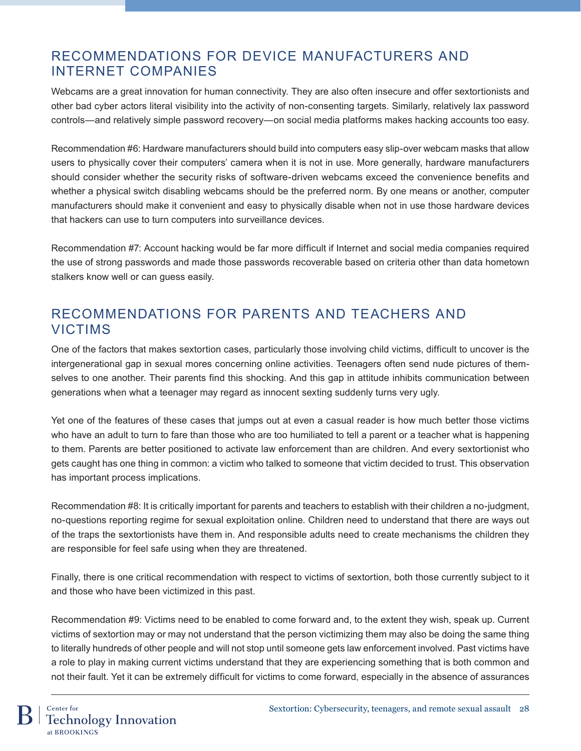## RECOMMENDATIONS FOR DEVICE MANUFACTURERS AND INTERNET COMPANIES

Webcams are a great innovation for human connectivity. They are also often insecure and offer sextortionists and other bad cyber actors literal visibility into the activity of non-consenting targets. Similarly, relatively lax password controls—and relatively simple password recovery—on social media platforms makes hacking accounts too easy.

Recommendation #6: Hardware manufacturers should build into computers easy slip-over webcam masks that allow users to physically cover their computers' camera when it is not in use. More generally, hardware manufacturers should consider whether the security risks of software-driven webcams exceed the convenience benefits and whether a physical switch disabling webcams should be the preferred norm. By one means or another, computer manufacturers should make it convenient and easy to physically disable when not in use those hardware devices that hackers can use to turn computers into surveillance devices.

Recommendation #7: Account hacking would be far more difficult if Internet and social media companies required the use of strong passwords and made those passwords recoverable based on criteria other than data hometown stalkers know well or can guess easily.

## RECOMMENDATIONS FOR PARENTS AND TEACHERS AND VICTIMS

One of the factors that makes sextortion cases, particularly those involving child victims, difficult to uncover is the intergenerational gap in sexual mores concerning online activities. Teenagers often send nude pictures of themselves to one another. Their parents find this shocking. And this gap in attitude inhibits communication between generations when what a teenager may regard as innocent sexting suddenly turns very ugly.

Yet one of the features of these cases that jumps out at even a casual reader is how much better those victims who have an adult to turn to fare than those who are too humiliated to tell a parent or a teacher what is happening to them. Parents are better positioned to activate law enforcement than are children. And every sextortionist who gets caught has one thing in common: a victim who talked to someone that victim decided to trust. This observation has important process implications.

Recommendation #8: It is critically important for parents and teachers to establish with their children a no-judgment, no-questions reporting regime for sexual exploitation online. Children need to understand that there are ways out of the traps the sextortionists have them in. And responsible adults need to create mechanisms the children they are responsible for feel safe using when they are threatened.

Finally, there is one critical recommendation with respect to victims of sextortion, both those currently subject to it and those who have been victimized in this past.

Recommendation #9: Victims need to be enabled to come forward and, to the extent they wish, speak up. Current victims of sextortion may or may not understand that the person victimizing them may also be doing the same thing to literally hundreds of other people and will not stop until someone gets law enforcement involved. Past victims have a role to play in making current victims understand that they are experiencing something that is both common and not their fault. Yet it can be extremely difficult for victims to come forward, especially in the absence of assurances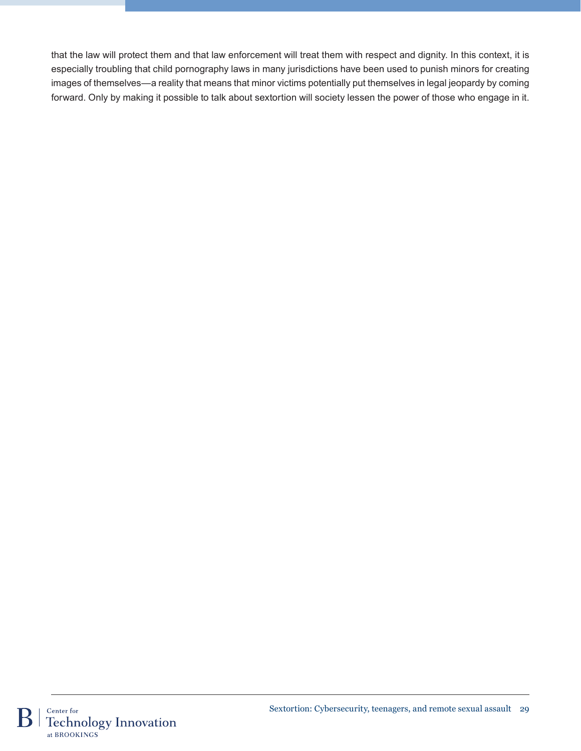that the law will protect them and that law enforcement will treat them with respect and dignity. In this context, it is especially troubling that child pornography laws in many jurisdictions have been used to punish minors for creating images of themselves—a reality that means that minor victims potentially put themselves in legal jeopardy by coming forward. Only by making it possible to talk about sextortion will society lessen the power of those who engage in it.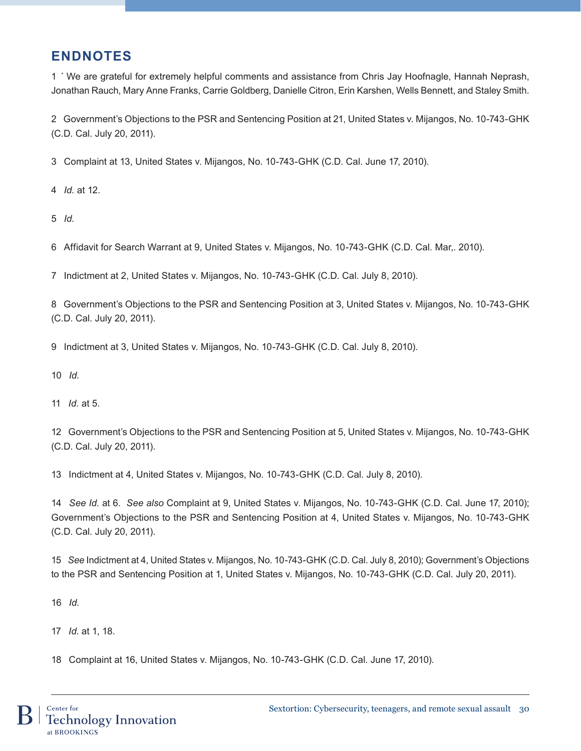#### **ENDNOTES**

1 \* We are grateful for extremely helpful comments and assistance from Chris Jay Hoofnagle, Hannah Neprash, Jonathan Rauch, Mary Anne Franks, Carrie Goldberg, Danielle Citron, Erin Karshen, Wells Bennett, and Staley Smith.

2 Government's Objections to the PSR and Sentencing Position at 21, United States v. Mijangos, No. 10-743-GHK (C.D. Cal. July 20, 2011).

3 Complaint at 13, United States v. Mijangos, No. 10-743-GHK (C.D. Cal. June 17, 2010).

4 *Id.* at 12.

5 *Id.*

6 Affidavit for Search Warrant at 9, United States v. Mijangos, No. 10-743-GHK (C.D. Cal. Mar,. 2010).

7 Indictment at 2, United States v. Mijangos, No. 10-743-GHK (C.D. Cal. July 8, 2010).

8 Government's Objections to the PSR and Sentencing Position at 3, United States v. Mijangos, No. 10-743-GHK (C.D. Cal. July 20, 2011).

9 Indictment at 3, United States v. Mijangos, No. 10-743-GHK (C.D. Cal. July 8, 2010).

10 *Id.*

11 *Id.* at 5.

12 Government's Objections to the PSR and Sentencing Position at 5, United States v. Mijangos, No. 10-743-GHK (C.D. Cal. July 20, 2011).

13 Indictment at 4, United States v. Mijangos, No. 10-743-GHK (C.D. Cal. July 8, 2010).

14 *See Id.* at 6. *See also* Complaint at 9, United States v. Mijangos, No. 10-743-GHK (C.D. Cal. June 17, 2010); Government's Objections to the PSR and Sentencing Position at 4, United States v. Mijangos, No. 10-743-GHK (C.D. Cal. July 20, 2011).

15 *See* Indictment at 4, United States v. Mijangos, No. 10-743-GHK (C.D. Cal. July 8, 2010); Government's Objections to the PSR and Sentencing Position at 1, United States v. Mijangos, No. 10-743-GHK (C.D. Cal. July 20, 2011).

16 *Id.*

17 *Id*. at 1, 18.

18 Complaint at 16, United States v. Mijangos, No. 10-743-GHK (C.D. Cal. June 17, 2010).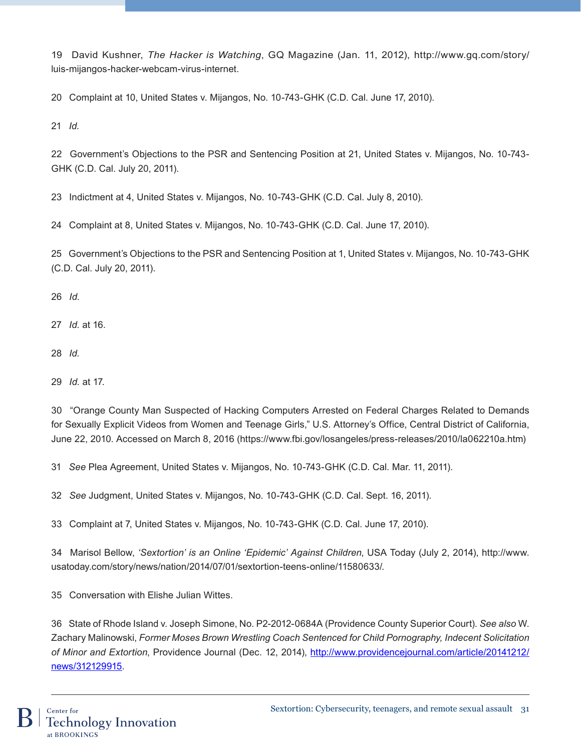19 David Kushner, *The Hacker is Watching*, GQ Magazine (Jan. 11, 2012), http://www.gq.com/story/ luis-mijangos-hacker-webcam-virus-internet.

20 Complaint at 10, United States v. Mijangos, No. 10-743-GHK (C.D. Cal. June 17, 2010).

21 *Id.*

22 Government's Objections to the PSR and Sentencing Position at 21, United States v. Mijangos, No. 10-743- GHK (C.D. Cal. July 20, 2011).

23 Indictment at 4, United States v. Mijangos, No. 10-743-GHK (C.D. Cal. July 8, 2010).

24 Complaint at 8, United States v. Mijangos, No. 10-743-GHK (C.D. Cal. June 17, 2010).

25 Government's Objections to the PSR and Sentencing Position at 1, United States v. Mijangos, No. 10-743-GHK (C.D. Cal. July 20, 2011).

26 *Id.*

27 *Id.* at 16.

28 *Id.*

29 *Id.* at 17.

30 "Orange County Man Suspected of Hacking Computers Arrested on Federal Charges Related to Demands for Sexually Explicit Videos from Women and Teenage Girls," U.S. Attorney's Office, Central District of California, June 22, 2010. Accessed on March 8, 2016 (https://www.fbi.gov/losangeles/press-releases/2010/la062210a.htm)

31 *See* Plea Agreement, United States v. Mijangos, No. 10-743-GHK (C.D. Cal. Mar. 11, 2011).

32 *See* Judgment, United States v. Mijangos, No. 10-743-GHK (C.D. Cal. Sept. 16, 2011).

33 Complaint at 7, United States v. Mijangos, No. 10-743-GHK (C.D. Cal. June 17, 2010).

34 Marisol Bellow, *'Sextortion' is an Online 'Epidemic' Against Children*, USA Today (July 2, 2014), http://www. usatoday.com/story/news/nation/2014/07/01/sextortion-teens-online/11580633/.

35 Conversation with Elishe Julian Wittes.

36 State of Rhode Island v. Joseph Simone, No. P2-2012-0684A (Providence County Superior Court). *See also* W. Zachary Malinowski, *Former Moses Brown Wrestling Coach Sentenced for Child Pornography, Indecent Solicitation of Minor and Extortion*, Providence Journal (Dec. 12, 2014), http://www.providencejournal.com/article/20141212/ news/312129915.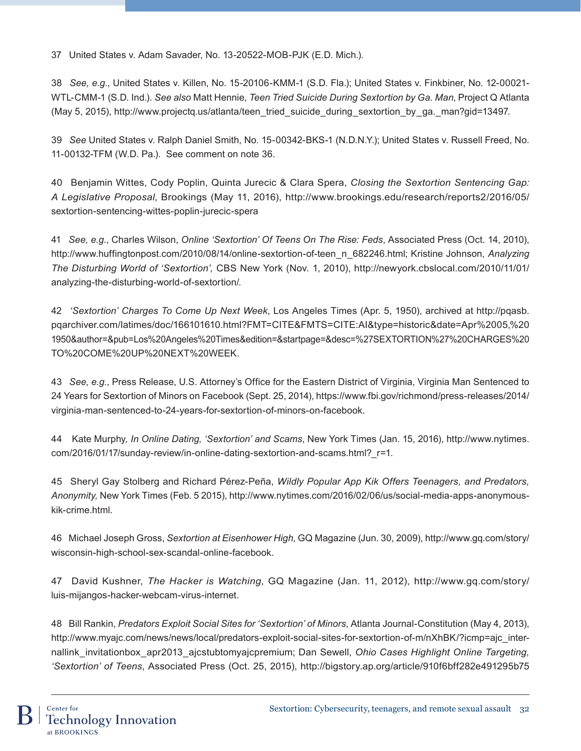37 United States v. Adam Savader, No. 13-20522-MOB-PJK (E.D. Mich.).

38 *See, e.g.*, United States v. Killen, No. 15-20106-KMM-1 (S.D. Fla.); United States v. Finkbiner, No. 12-00021- WTL-CMM-1 (S.D. Ind.). *See also* Matt Hennie, *Teen Tried Suicide During Sextortion by Ga. Man*, Project Q Atlanta (May 5, 2015), http://www.projectq.us/atlanta/teen\_tried\_suicide\_during\_sextortion\_by\_ga.\_man?gid=13497.

39 *See* United States v. Ralph Daniel Smith, No. 15-00342-BKS-1 (N.D.N.Y.); United States v. Russell Freed, No. 11-00132-TFM (W.D. Pa.). See comment on note 36.

40 Benjamin Wittes, Cody Poplin, Quinta Jurecic & Clara Spera, *Closing the Sextortion Sentencing Gap: A Legislative Proposal*, Brookings (May 11, 2016), http://www.brookings.edu/research/reports2/2016/05/ sextortion-sentencing-wittes-poplin-jurecic-spera

41 *See, e.g.*, Charles Wilson, *Online 'Sextortion' Of Teens On The Rise: Feds*, Associated Press (Oct. 14, 2010), http://www.huffingtonpost.com/2010/08/14/online-sextortion-of-teen\_n\_682246.html; Kristine Johnson, *Analyzing The Disturbing World of 'Sextortion',* CBS New York (Nov. 1, 2010), http://newyork.cbslocal.com/2010/11/01/ analyzing-the-disturbing-world-of-sextortion/.

42 *'Sextortion' Charges To Come Up Next Week*, Los Angeles Times (Apr. 5, 1950), archived at http://pqasb. pqarchiver.com/latimes/doc/166101610.html?FMT=CITE&FMTS=CITE:AI&type=historic&date=Apr%2005,%20 1950&author=&pub=Los%20Angeles%20Times&edition=&startpage=&desc=%27SEXTORTION%27%20CHARGES%20 TO%20COME%20UP%20NEXT%20WEEK.

43 *See, e.g.*, Press Release, U.S. Attorney's Office for the Eastern District of Virginia, Virginia Man Sentenced to 24 Years for Sextortion of Minors on Facebook (Sept. 25, 2014), https://www.fbi.gov/richmond/press-releases/2014/ virginia-man-sentenced-to-24-years-for-sextortion-of-minors-on-facebook.

44 Kate Murphy*, In Online Dating, 'Sextortion' and Scams*, New York Times (Jan. 15, 2016), http://www.nytimes. com/2016/01/17/sunday-review/in-online-dating-sextortion-and-scams.html?\_r=1.

45 Sheryl Gay Stolberg and Richard Pérez-Peña, *Wildly Popular App Kik Offers Teenagers, and Predators, Anonymity,* New York Times (Feb. 5 2015), http://www.nytimes.com/2016/02/06/us/social-media-apps-anonymouskik-crime.html.

46 Michael Joseph Gross, *Sextortion at Eisenhower High*, GQ Magazine (Jun. 30, 2009), http://www.gq.com/story/ wisconsin-high-school-sex-scandal-online-facebook.

47 David Kushner, *The Hacker is Watching*, GQ Magazine (Jan. 11, 2012), http://www.gq.com/story/ luis-mijangos-hacker-webcam-virus-internet.

48 Bill Rankin, *Predators Exploit Social Sites for 'Sextortion' of Minors*, Atlanta Journal-Constitution (May 4, 2013), http://www.myajc.com/news/news/local/predators-exploit-social-sites-for-sextortion-of-m/nXhBK/?icmp=ajc\_internallink\_invitationbox\_apr2013\_ajcstubtomyajcpremium; Dan Sewell, *Ohio Cases Highlight Online Targeting, 'Sextortion' of Teens*, Associated Press (Oct. 25, 2015), http://bigstory.ap.org/article/910f6bff282e491295b75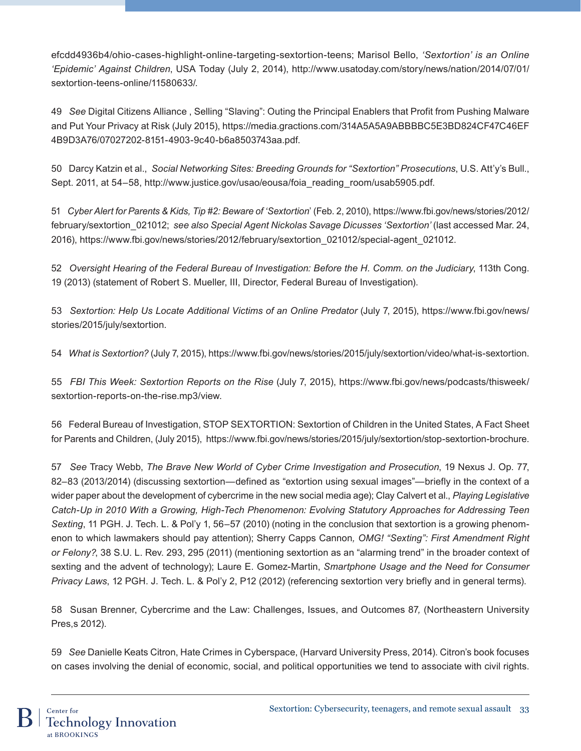efcdd4936b4/ohio-cases-highlight-online-targeting-sextortion-teens; Marisol Bello, *'Sextortion' is an Online 'Epidemic' Against Children*, USA Today (July 2, 2014), http://www.usatoday.com/story/news/nation/2014/07/01/ sextortion-teens-online/11580633/.

49 *See* Digital Citizens Alliance , Selling "Slaving": Outing the Principal Enablers that Profit from Pushing Malware and Put Your Privacy at Risk (July 2015), https://media.gractions.com/314A5A5A9ABBBBC5E3BD824CF47C46EF 4B9D3A76/07027202-8151-4903-9c40-b6a8503743aa.pdf.

50 Darcy Katzin et al., *Social Networking Sites: Breeding Grounds for "Sextortion" Prosecutions*, U.S. Att'y's Bull., Sept. 2011, at 54–58, http://www.justice.gov/usao/eousa/foia\_reading\_room/usab5905.pdf.

51 *Cyber Alert for Parents & Kids, Tip #2: Beware of 'Sextortion*' (Feb. 2, 2010), https://www.fbi.gov/news/stories/2012/ february/sextortion\_021012; *see also Special Agent Nickolas Savage Dicusses 'Sextortion'* (last accessed Mar. 24, 2016), https://www.fbi.gov/news/stories/2012/february/sextortion\_021012/special-agent\_021012.

52 *Oversight Hearing of the Federal Bureau of Investigation: Before the H. Comm. on the Judiciary*, 113th Cong. 19 (2013) (statement of Robert S. Mueller, III, Director, Federal Bureau of Investigation).

53 *Sextortion: Help Us Locate Additional Victims of an Online Predator* (July 7, 2015), https://www.fbi.gov/news/ stories/2015/july/sextortion.

54 *What is Sextortion?* (July 7, 2015), https://www.fbi.gov/news/stories/2015/july/sextortion/video/what-is-sextortion.

55 *FBI This Week: Sextortion Reports on the Rise* (July 7, 2015), https://www.fbi.gov/news/podcasts/thisweek/ sextortion-reports-on-the-rise.mp3/view.

56 Federal Bureau of Investigation, STOP SEXTORTION: Sextortion of Children in the United States, A Fact Sheet for Parents and Children, (July 2015), https://www.fbi.gov/news/stories/2015/july/sextortion/stop-sextortion-brochure.

57 *See* Tracy Webb, *The Brave New World of Cyber Crime Investigation and Prosecution*, 19 Nexus J. Op. 77, 82–83 (2013/2014) (discussing sextortion—defined as "extortion using sexual images"—briefly in the context of a wider paper about the development of cybercrime in the new social media age); Clay Calvert et al., *Playing Legislative Catch-Up in 2010 With a Growing, High-Tech Phenomenon: Evolving Statutory Approaches for Addressing Teen Sexting*, 11 PGH. J. Tech. L. & Pol'y 1, 56–57 (2010) (noting in the conclusion that sextortion is a growing phenomenon to which lawmakers should pay attention); Sherry Capps Cannon*, OMG! "Sexting": First Amendment Right or Felony?*, 38 S.U. L. Rev. 293, 295 (2011) (mentioning sextortion as an "alarming trend" in the broader context of sexting and the advent of technology); Laure E. Gomez-Martin, *Smartphone Usage and the Need for Consumer Privacy Laws*, 12 PGH. J. Tech. L. & Pol'y 2, P12 (2012) (referencing sextortion very briefly and in general terms).

58 Susan Brenner, Cybercrime and the Law: Challenges, Issues, and Outcomes 87*,* (Northeastern University Pres,s 2012).

59 *See* Danielle Keats Citron, Hate Crimes in Cyberspace, (Harvard University Press, 2014). Citron's book focuses on cases involving the denial of economic, social, and political opportunities we tend to associate with civil rights.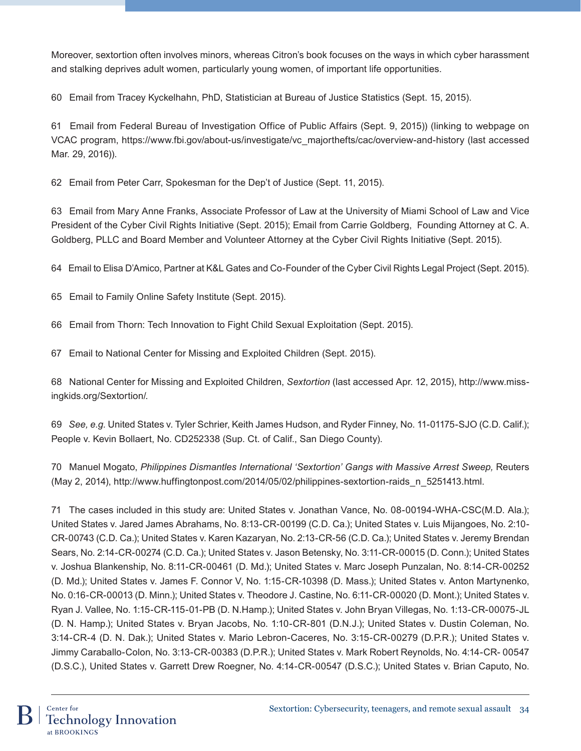Moreover, sextortion often involves minors, whereas Citron's book focuses on the ways in which cyber harassment and stalking deprives adult women, particularly young women, of important life opportunities.

60 Email from Tracey Kyckelhahn, PhD, Statistician at Bureau of Justice Statistics (Sept. 15, 2015).

61 Email from Federal Bureau of Investigation Office of Public Affairs (Sept. 9, 2015)) (linking to webpage on VCAC program, https://www.fbi.gov/about-us/investigate/vc\_majorthefts/cac/overview-and-history (last accessed Mar. 29, 2016)).

62 Email from Peter Carr, Spokesman for the Dep't of Justice (Sept. 11, 2015).

63 Email from Mary Anne Franks, Associate Professor of Law at the University of Miami School of Law and Vice President of the Cyber Civil Rights Initiative (Sept. 2015); Email from Carrie Goldberg, Founding Attorney at C. A. Goldberg, PLLC and Board Member and Volunteer Attorney at the Cyber Civil Rights Initiative (Sept. 2015).

64 Email to Elisa D'Amico, Partner at K&L Gates and Co-Founder of the Cyber Civil Rights Legal Project (Sept. 2015).

65 Email to Family Online Safety Institute (Sept. 2015).

66 Email from Thorn: Tech Innovation to Fight Child Sexual Exploitation (Sept. 2015).

67 Email to National Center for Missing and Exploited Children (Sept. 2015).

68 National Center for Missing and Exploited Children, *Sextortion* (last accessed Apr. 12, 2015), http://www.missingkids.org/Sextortion/.

69 *See, e.g.* United States v. Tyler Schrier, Keith James Hudson, and Ryder Finney, No. 11-01175-SJO (C.D. Calif.); People v. Kevin Bollaert, No. CD252338 (Sup. Ct. of Calif., San Diego County).

70 Manuel Mogato, *Philippines Dismantles International 'Sextortion' Gangs with Massive Arrest Sweep,* Reuters (May 2, 2014), http://www.huffingtonpost.com/2014/05/02/philippines-sextortion-raids\_n\_5251413.html.

71 The cases included in this study are: United States v. Jonathan Vance, No. 08-00194-WHA-CSC(M.D. Ala.); United States v. Jared James Abrahams, No. 8:13-CR-00199 (C.D. Ca.); United States v. Luis Mijangoes, No. 2:10- CR-00743 (C.D. Ca.); United States v. Karen Kazaryan, No. 2:13-CR-56 (C.D. Ca.); United States v. Jeremy Brendan Sears, No. 2:14-CR-00274 (C.D. Ca.); United States v. Jason Betensky, No. 3:11-CR-00015 (D. Conn.); United States v. Joshua Blankenship, No. 8:11-CR-00461 (D. Md.); United States v. Marc Joseph Punzalan, No. 8:14-CR-00252 (D. Md.); United States v. James F. Connor V, No. 1:15-CR-10398 (D. Mass.); United States v. Anton Martynenko, No. 0:16-CR-00013 (D. Minn.); United States v. Theodore J. Castine, No. 6:11-CR-00020 (D. Mont.); United States v. Ryan J. Vallee, No. 1:15-CR-115-01-PB (D. N.Hamp.); United States v. John Bryan Villegas, No. 1:13-CR-00075-JL (D. N. Hamp.); United States v. Bryan Jacobs, No. 1:10-CR-801 (D.N.J.); United States v. Dustin Coleman, No. 3:14-CR-4 (D. N. Dak.); United States v. Mario Lebron-Caceres, No. 3:15-CR-00279 (D.P.R.); United States v. Jimmy Caraballo-Colon, No. 3:13-CR-00383 (D.P.R.); United States v. Mark Robert Reynolds, No. 4:14-CR- 00547 (D.S.C.), United States v. Garrett Drew Roegner, No. 4:14-CR-00547 (D.S.C.); United States v. Brian Caputo, No.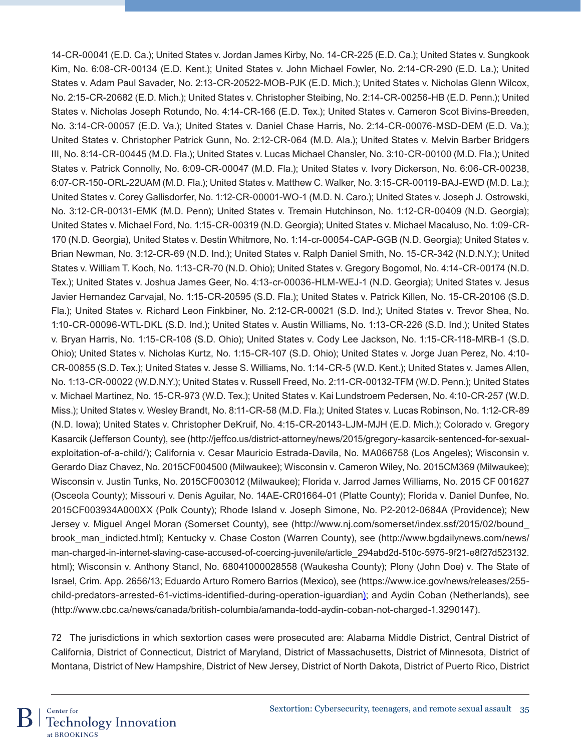14-CR-00041 (E.D. Ca.); United States v. Jordan James Kirby, No. 14-CR-225 (E.D. Ca.); United States v. Sungkook Kim, No. 6:08-CR-00134 (E.D. Kent.); United States v. John Michael Fowler, No. 2:14-CR-290 (E.D. La.); United States v. Adam Paul Savader, No. 2:13-CR-20522-MOB-PJK (E.D. Mich.); United States v. Nicholas Glenn Wilcox, No. 2:15-CR-20682 (E.D. Mich.); United States v. Christopher Steibing, No. 2:14-CR-00256-HB (E.D. Penn.); United States v. Nicholas Joseph Rotundo, No. 4:14-CR-166 (E.D. Tex.); United States v. Cameron Scot Bivins-Breeden, No. 3:14-CR-00057 (E.D. Va.); United States v. Daniel Chase Harris, No. 2:14-CR-00076-MSD-DEM (E.D. Va.); United States v. Christopher Patrick Gunn, No. 2:12-CR-064 (M.D. Ala.); United States v. Melvin Barber Bridgers III, No. 8:14-CR-00445 (M.D. Fla.); United States v. Lucas Michael Chansler, No. 3:10-CR-00100 (M.D. Fla.); United States v. Patrick Connolly, No. 6:09-CR-00047 (M.D. Fla.); United States v. Ivory Dickerson, No. 6:06-CR-00238, 6:07-CR-150-ORL-22UAM (M.D. Fla.); United States v. Matthew C. Walker, No. 3:15-CR-00119-BAJ-EWD (M.D. La.); United States v. Corey Gallisdorfer, No. 1:12-CR-00001-WO-1 (M.D. N. Caro.); United States v. Joseph J. Ostrowski, No. 3:12-CR-00131-EMK (M.D. Penn); United States v. Tremain Hutchinson, No. 1:12-CR-00409 (N.D. Georgia); United States v. Michael Ford, No. 1:15-CR-00319 (N.D. Georgia); United States v. Michael Macaluso, No. 1:09-CR-170 (N.D. Georgia), United States v. Destin Whitmore, No. 1:14-cr-00054-CAP-GGB (N.D. Georgia); United States v. Brian Newman, No. 3:12-CR-69 (N.D. Ind.); United States v. Ralph Daniel Smith, No. 15-CR-342 (N.D.N.Y.); United States v. William T. Koch, No. 1:13-CR-70 (N.D. Ohio); United States v. Gregory Bogomol, No. 4:14-CR-00174 (N.D. Tex.); United States v. Joshua James Geer, No. 4:13-cr-00036-HLM-WEJ-1 (N.D. Georgia); United States v. Jesus Javier Hernandez Carvajal, No. 1:15-CR-20595 (S.D. Fla.); United States v. Patrick Killen, No. 15-CR-20106 (S.D. Fla.); United States v. Richard Leon Finkbiner, No. 2:12-CR-00021 (S.D. Ind.); United States v. Trevor Shea, No. 1:10-CR-00096-WTL-DKL (S.D. Ind.); United States v. Austin Williams, No. 1:13-CR-226 (S.D. Ind.); United States v. Bryan Harris, No. 1:15-CR-108 (S.D. Ohio); United States v. Cody Lee Jackson, No. 1:15-CR-118-MRB-1 (S.D. Ohio); United States v. Nicholas Kurtz, No. 1:15-CR-107 (S.D. Ohio); United States v. Jorge Juan Perez, No. 4:10- CR-00855 (S.D. Tex.); United States v. Jesse S. Williams, No. 1:14-CR-5 (W.D. Kent.); United States v. James Allen, No. 1:13-CR-00022 (W.D.N.Y.); United States v. Russell Freed, No. 2:11-CR-00132-TFM (W.D. Penn.); United States v. Michael Martinez, No. 15-CR-973 (W.D. Tex.); United States v. Kai Lundstroem Pedersen, No. 4:10-CR-257 (W.D. Miss.); United States v. Wesley Brandt, No. 8:11-CR-58 (M.D. Fla.); United States v. Lucas Robinson, No. 1:12-CR-89 (N.D. Iowa); United States v. Christopher DeKruif, No. 4:15-CR-20143-LJM-MJH (E.D. Mich.); Colorado v. Gregory Kasarcik (Jefferson County), see (http://jeffco.us/district-attorney/news/2015/gregory-kasarcik-sentenced-for-sexualexploitation-of-a-child/); California v. Cesar Mauricio Estrada-Davila, No. MA066758 (Los Angeles); Wisconsin v. Gerardo Diaz Chavez, No. 2015CF004500 (Milwaukee); Wisconsin v. Cameron Wiley, No. 2015CM369 (Milwaukee); Wisconsin v. Justin Tunks, No. 2015CF003012 (Milwaukee); Florida v. Jarrod James Williams, No. 2015 CF 001627 (Osceola County); Missouri v. Denis Aguilar, No. 14AE-CR01664-01 (Platte County); Florida v. Daniel Dunfee, No. 2015CF003934A000XX (Polk County); Rhode Island v. Joseph Simone, No. P2-2012-0684A (Providence); New Jersey v. Miguel Angel Moran (Somerset County), see (http://www.nj.com/somerset/index.ssf/2015/02/bound\_ brook man indicted.html); Kentucky v. Chase Coston (Warren County), see (http://www.bgdailynews.com/news/ man-charged-in-internet-slaving-case-accused-of-coercing-juvenile/article\_294abd2d-510c-5975-9f21-e8f27d523132. html); Wisconsin v. Anthony Stancl, No. 68041000028558 (Waukesha County); Plony (John Doe) v. The State of Israel, Crim. App. 2656/13; Eduardo Arturo Romero Barrios (Mexico), see (https://www.ice.gov/news/releases/255 child-predators-arrested-61-victims-identified-during-operation-iguardian); and Aydin Coban (Netherlands), see (http://www.cbc.ca/news/canada/british-columbia/amanda-todd-aydin-coban-not-charged-1.3290147).

72 The jurisdictions in which sextortion cases were prosecuted are: Alabama Middle District, Central District of California, District of Connecticut, District of Maryland, District of Massachusetts, District of Minnesota, District of Montana, District of New Hampshire, District of New Jersey, District of North Dakota, District of Puerto Rico, District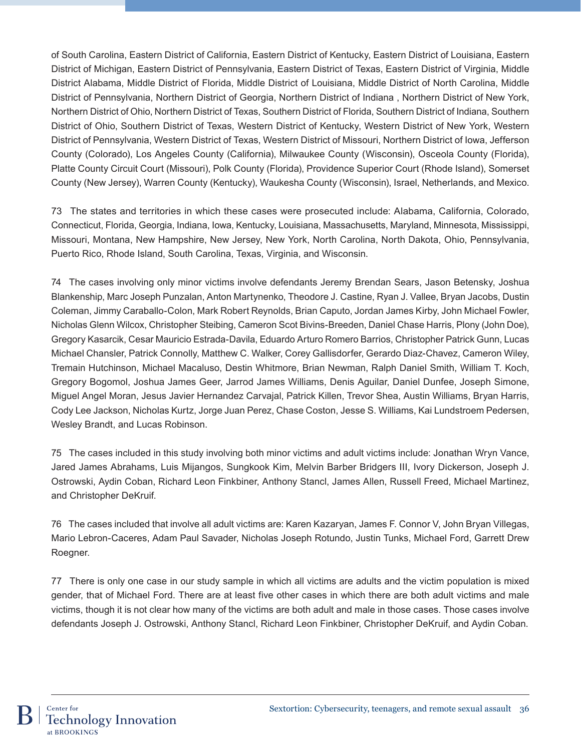of South Carolina, Eastern District of California, Eastern District of Kentucky, Eastern District of Louisiana, Eastern District of Michigan, Eastern District of Pennsylvania, Eastern District of Texas, Eastern District of Virginia, Middle District Alabama, Middle District of Florida, Middle District of Louisiana, Middle District of North Carolina, Middle District of Pennsylvania, Northern District of Georgia, Northern District of Indiana , Northern District of New York, Northern District of Ohio, Northern District of Texas, Southern District of Florida, Southern District of Indiana, Southern District of Ohio, Southern District of Texas, Western District of Kentucky, Western District of New York, Western District of Pennsylvania, Western District of Texas, Western District of Missouri, Northern District of Iowa, Jefferson County (Colorado), Los Angeles County (California), Milwaukee County (Wisconsin), Osceola County (Florida), Platte County Circuit Court (Missouri), Polk County (Florida), Providence Superior Court (Rhode Island), Somerset County (New Jersey), Warren County (Kentucky), Waukesha County (Wisconsin), Israel, Netherlands, and Mexico.

73 The states and territories in which these cases were prosecuted include: Alabama, California, Colorado, Connecticut, Florida, Georgia, Indiana, Iowa, Kentucky, Louisiana, Massachusetts, Maryland, Minnesota, Mississippi, Missouri, Montana, New Hampshire, New Jersey, New York, North Carolina, North Dakota, Ohio, Pennsylvania, Puerto Rico, Rhode Island, South Carolina, Texas, Virginia, and Wisconsin.

74 The cases involving only minor victims involve defendants Jeremy Brendan Sears, Jason Betensky, Joshua Blankenship, Marc Joseph Punzalan, Anton Martynenko, Theodore J. Castine, Ryan J. Vallee, Bryan Jacobs, Dustin Coleman, Jimmy Caraballo-Colon, Mark Robert Reynolds, Brian Caputo, Jordan James Kirby, John Michael Fowler, Nicholas Glenn Wilcox, Christopher Steibing, Cameron Scot Bivins-Breeden, Daniel Chase Harris, Plony (John Doe), Gregory Kasarcik, Cesar Mauricio Estrada-Davila, Eduardo Arturo Romero Barrios, Christopher Patrick Gunn, Lucas Michael Chansler, Patrick Connolly, Matthew C. Walker, Corey Gallisdorfer, Gerardo Diaz-Chavez, Cameron Wiley, Tremain Hutchinson, Michael Macaluso, Destin Whitmore, Brian Newman, Ralph Daniel Smith, William T. Koch, Gregory Bogomol, Joshua James Geer, Jarrod James Williams, Denis Aguilar, Daniel Dunfee, Joseph Simone, Miguel Angel Moran, Jesus Javier Hernandez Carvajal, Patrick Killen, Trevor Shea, Austin Williams, Bryan Harris, Cody Lee Jackson, Nicholas Kurtz, Jorge Juan Perez, Chase Coston, Jesse S. Williams, Kai Lundstroem Pedersen, Wesley Brandt, and Lucas Robinson.

75 The cases included in this study involving both minor victims and adult victims include: Jonathan Wryn Vance, Jared James Abrahams, Luis Mijangos, Sungkook Kim, Melvin Barber Bridgers III, Ivory Dickerson, Joseph J. Ostrowski, Aydin Coban, Richard Leon Finkbiner, Anthony Stancl, James Allen, Russell Freed, Michael Martinez, and Christopher DeKruif.

76 The cases included that involve all adult victims are: Karen Kazaryan, James F. Connor V, John Bryan Villegas, Mario Lebron-Caceres, Adam Paul Savader, Nicholas Joseph Rotundo, Justin Tunks, Michael Ford, Garrett Drew Roegner.

77 There is only one case in our study sample in which all victims are adults and the victim population is mixed gender, that of Michael Ford. There are at least five other cases in which there are both adult victims and male victims, though it is not clear how many of the victims are both adult and male in those cases. Those cases involve defendants Joseph J. Ostrowski, Anthony Stancl, Richard Leon Finkbiner, Christopher DeKruif, and Aydin Coban.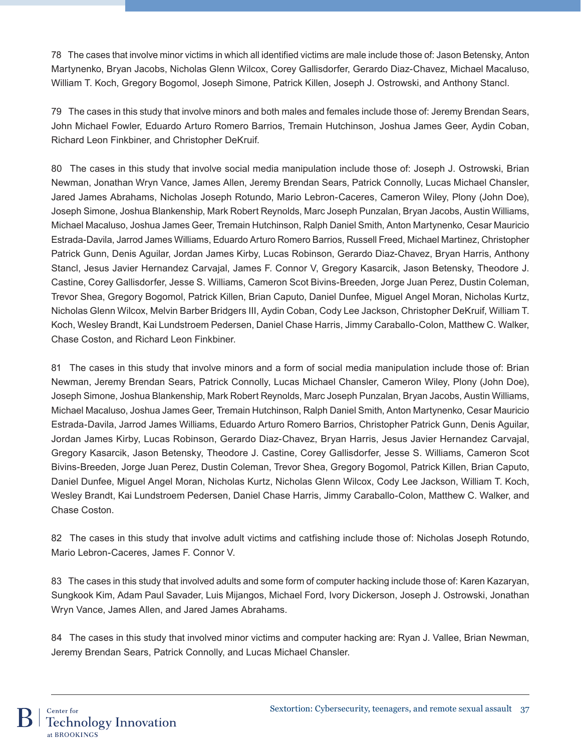78 The cases that involve minor victims in which all identified victims are male include those of: Jason Betensky, Anton Martynenko, Bryan Jacobs, Nicholas Glenn Wilcox, Corey Gallisdorfer, Gerardo Diaz-Chavez, Michael Macaluso, William T. Koch, Gregory Bogomol, Joseph Simone, Patrick Killen, Joseph J. Ostrowski, and Anthony Stancl.

79 The cases in this study that involve minors and both males and females include those of: Jeremy Brendan Sears, John Michael Fowler, Eduardo Arturo Romero Barrios, Tremain Hutchinson, Joshua James Geer, Aydin Coban, Richard Leon Finkbiner, and Christopher DeKruif.

80 The cases in this study that involve social media manipulation include those of: Joseph J. Ostrowski, Brian Newman, Jonathan Wryn Vance, James Allen, Jeremy Brendan Sears, Patrick Connolly, Lucas Michael Chansler, Jared James Abrahams, Nicholas Joseph Rotundo, Mario Lebron-Caceres, Cameron Wiley, Plony (John Doe), Joseph Simone, Joshua Blankenship, Mark Robert Reynolds, Marc Joseph Punzalan, Bryan Jacobs, Austin Williams, Michael Macaluso, Joshua James Geer, Tremain Hutchinson, Ralph Daniel Smith, Anton Martynenko, Cesar Mauricio Estrada-Davila, Jarrod James Williams, Eduardo Arturo Romero Barrios, Russell Freed, Michael Martinez, Christopher Patrick Gunn, Denis Aguilar, Jordan James Kirby, Lucas Robinson, Gerardo Diaz-Chavez, Bryan Harris, Anthony Stancl, Jesus Javier Hernandez Carvajal, James F. Connor V, Gregory Kasarcik, Jason Betensky, Theodore J. Castine, Corey Gallisdorfer, Jesse S. Williams, Cameron Scot Bivins-Breeden, Jorge Juan Perez, Dustin Coleman, Trevor Shea, Gregory Bogomol, Patrick Killen, Brian Caputo, Daniel Dunfee, Miguel Angel Moran, Nicholas Kurtz, Nicholas Glenn Wilcox, Melvin Barber Bridgers III, Aydin Coban, Cody Lee Jackson, Christopher DeKruif, William T. Koch, Wesley Brandt, Kai Lundstroem Pedersen, Daniel Chase Harris, Jimmy Caraballo-Colon, Matthew C. Walker, Chase Coston, and Richard Leon Finkbiner.

81 The cases in this study that involve minors and a form of social media manipulation include those of: Brian Newman, Jeremy Brendan Sears, Patrick Connolly, Lucas Michael Chansler, Cameron Wiley, Plony (John Doe), Joseph Simone, Joshua Blankenship, Mark Robert Reynolds, Marc Joseph Punzalan, Bryan Jacobs, Austin Williams, Michael Macaluso, Joshua James Geer, Tremain Hutchinson, Ralph Daniel Smith, Anton Martynenko, Cesar Mauricio Estrada-Davila, Jarrod James Williams, Eduardo Arturo Romero Barrios, Christopher Patrick Gunn, Denis Aguilar, Jordan James Kirby, Lucas Robinson, Gerardo Diaz-Chavez, Bryan Harris, Jesus Javier Hernandez Carvajal, Gregory Kasarcik, Jason Betensky, Theodore J. Castine, Corey Gallisdorfer, Jesse S. Williams, Cameron Scot Bivins-Breeden, Jorge Juan Perez, Dustin Coleman, Trevor Shea, Gregory Bogomol, Patrick Killen, Brian Caputo, Daniel Dunfee, Miguel Angel Moran, Nicholas Kurtz, Nicholas Glenn Wilcox, Cody Lee Jackson, William T. Koch, Wesley Brandt, Kai Lundstroem Pedersen, Daniel Chase Harris, Jimmy Caraballo-Colon, Matthew C. Walker, and Chase Coston.

82 The cases in this study that involve adult victims and catfishing include those of: Nicholas Joseph Rotundo, Mario Lebron-Caceres, James F. Connor V.

83 The cases in this study that involved adults and some form of computer hacking include those of: Karen Kazaryan, Sungkook Kim, Adam Paul Savader, Luis Mijangos, Michael Ford, Ivory Dickerson, Joseph J. Ostrowski, Jonathan Wryn Vance, James Allen, and Jared James Abrahams.

84 The cases in this study that involved minor victims and computer hacking are: Ryan J. Vallee, Brian Newman, Jeremy Brendan Sears, Patrick Connolly, and Lucas Michael Chansler.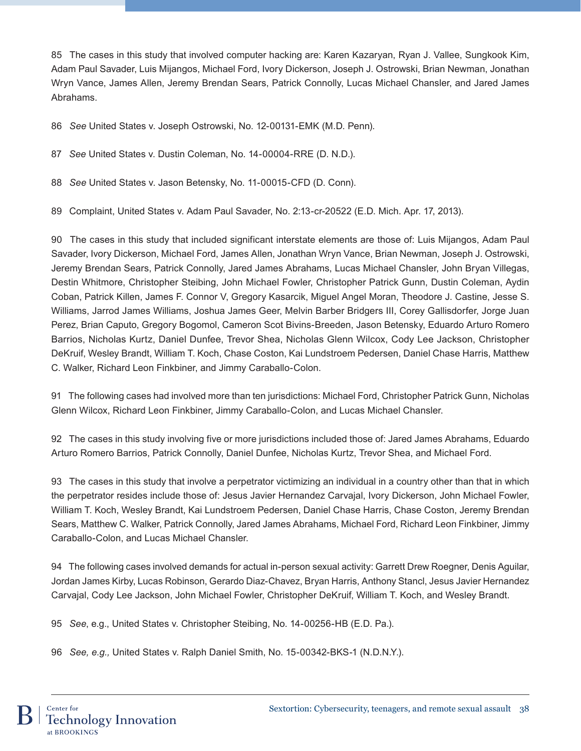85 The cases in this study that involved computer hacking are: Karen Kazaryan, Ryan J. Vallee, Sungkook Kim, Adam Paul Savader, Luis Mijangos, Michael Ford, Ivory Dickerson, Joseph J. Ostrowski, Brian Newman, Jonathan Wryn Vance, James Allen, Jeremy Brendan Sears, Patrick Connolly, Lucas Michael Chansler, and Jared James Abrahams.

86 *See* United States v. Joseph Ostrowski, No. 12-00131-EMK (M.D. Penn).

87 *See* United States v. Dustin Coleman, No. 14-00004-RRE (D. N.D.).

88 *See* United States v. Jason Betensky, No. 11-00015-CFD (D. Conn).

89 Complaint, United States v. Adam Paul Savader, No. 2:13-cr-20522 (E.D. Mich. Apr. 17, 2013).

90 The cases in this study that included significant interstate elements are those of: Luis Mijangos, Adam Paul Savader, Ivory Dickerson, Michael Ford, James Allen, Jonathan Wryn Vance, Brian Newman, Joseph J. Ostrowski, Jeremy Brendan Sears, Patrick Connolly, Jared James Abrahams, Lucas Michael Chansler, John Bryan Villegas, Destin Whitmore, Christopher Steibing, John Michael Fowler, Christopher Patrick Gunn, Dustin Coleman, Aydin Coban, Patrick Killen, James F. Connor V, Gregory Kasarcik, Miguel Angel Moran, Theodore J. Castine, Jesse S. Williams, Jarrod James Williams, Joshua James Geer, Melvin Barber Bridgers III, Corey Gallisdorfer, Jorge Juan Perez, Brian Caputo, Gregory Bogomol, Cameron Scot Bivins-Breeden, Jason Betensky, Eduardo Arturo Romero Barrios, Nicholas Kurtz, Daniel Dunfee, Trevor Shea, Nicholas Glenn Wilcox, Cody Lee Jackson, Christopher DeKruif, Wesley Brandt, William T. Koch, Chase Coston, Kai Lundstroem Pedersen, Daniel Chase Harris, Matthew C. Walker, Richard Leon Finkbiner, and Jimmy Caraballo-Colon.

91 The following cases had involved more than ten jurisdictions: Michael Ford, Christopher Patrick Gunn, Nicholas Glenn Wilcox, Richard Leon Finkbiner, Jimmy Caraballo-Colon, and Lucas Michael Chansler.

92 The cases in this study involving five or more jurisdictions included those of: Jared James Abrahams, Eduardo Arturo Romero Barrios, Patrick Connolly, Daniel Dunfee, Nicholas Kurtz, Trevor Shea, and Michael Ford.

93 The cases in this study that involve a perpetrator victimizing an individual in a country other than that in which the perpetrator resides include those of: Jesus Javier Hernandez Carvajal, Ivory Dickerson, John Michael Fowler, William T. Koch, Wesley Brandt, Kai Lundstroem Pedersen, Daniel Chase Harris, Chase Coston, Jeremy Brendan Sears, Matthew C. Walker, Patrick Connolly, Jared James Abrahams, Michael Ford, Richard Leon Finkbiner, Jimmy Caraballo-Colon, and Lucas Michael Chansler.

94 The following cases involved demands for actual in-person sexual activity: Garrett Drew Roegner, Denis Aguilar, Jordan James Kirby, Lucas Robinson, Gerardo Diaz-Chavez, Bryan Harris, Anthony Stancl, Jesus Javier Hernandez Carvajal, Cody Lee Jackson, John Michael Fowler, Christopher DeKruif, William T. Koch, and Wesley Brandt.

95 *See*, e.g., United States v. Christopher Steibing, No. 14-00256-HB (E.D. Pa.).

96 *See, e.g.,* United States v. Ralph Daniel Smith, No. 15-00342-BKS-1 (N.D.N.Y.).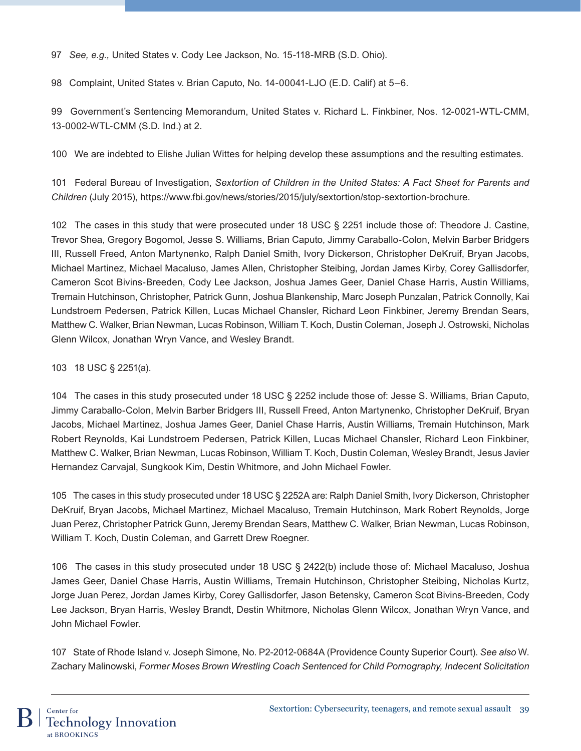97 *See, e.g.,* United States v. Cody Lee Jackson, No. 15-118-MRB (S.D. Ohio).

98 Complaint, United States v. Brian Caputo, No. 14-00041-LJO (E.D. Calif) at 5–6.

99 Government's Sentencing Memorandum, United States v. Richard L. Finkbiner, Nos. 12-0021-WTL-CMM, 13-0002-WTL-CMM (S.D. Ind.) at 2.

100 We are indebted to Elishe Julian Wittes for helping develop these assumptions and the resulting estimates.

101 Federal Bureau of Investigation, *Sextortion of Children in the United States: A Fact Sheet for Parents and Children* (July 2015), https://www.fbi.gov/news/stories/2015/july/sextortion/stop-sextortion-brochure.

102 The cases in this study that were prosecuted under 18 USC § 2251 include those of: Theodore J. Castine, Trevor Shea, Gregory Bogomol, Jesse S. Williams, Brian Caputo, Jimmy Caraballo-Colon, Melvin Barber Bridgers III, Russell Freed, Anton Martynenko, Ralph Daniel Smith, Ivory Dickerson, Christopher DeKruif, Bryan Jacobs, Michael Martinez, Michael Macaluso, James Allen, Christopher Steibing, Jordan James Kirby, Corey Gallisdorfer, Cameron Scot Bivins-Breeden, Cody Lee Jackson, Joshua James Geer, Daniel Chase Harris, Austin Williams, Tremain Hutchinson, Christopher, Patrick Gunn, Joshua Blankenship, Marc Joseph Punzalan, Patrick Connolly, Kai Lundstroem Pedersen, Patrick Killen, Lucas Michael Chansler, Richard Leon Finkbiner, Jeremy Brendan Sears, Matthew C. Walker, Brian Newman, Lucas Robinson, William T. Koch, Dustin Coleman, Joseph J. Ostrowski, Nicholas Glenn Wilcox, Jonathan Wryn Vance, and Wesley Brandt.

103 18 USC § 2251(a).

104 The cases in this study prosecuted under 18 USC § 2252 include those of: Jesse S. Williams, Brian Caputo, Jimmy Caraballo-Colon, Melvin Barber Bridgers III, Russell Freed, Anton Martynenko, Christopher DeKruif, Bryan Jacobs, Michael Martinez, Joshua James Geer, Daniel Chase Harris, Austin Williams, Tremain Hutchinson, Mark Robert Reynolds, Kai Lundstroem Pedersen, Patrick Killen, Lucas Michael Chansler, Richard Leon Finkbiner, Matthew C. Walker, Brian Newman, Lucas Robinson, William T. Koch, Dustin Coleman, Wesley Brandt, Jesus Javier Hernandez Carvajal, Sungkook Kim, Destin Whitmore, and John Michael Fowler.

105 The cases in this study prosecuted under 18 USC § 2252A are: Ralph Daniel Smith, Ivory Dickerson, Christopher DeKruif, Bryan Jacobs, Michael Martinez, Michael Macaluso, Tremain Hutchinson, Mark Robert Reynolds, Jorge Juan Perez, Christopher Patrick Gunn, Jeremy Brendan Sears, Matthew C. Walker, Brian Newman, Lucas Robinson, William T. Koch, Dustin Coleman, and Garrett Drew Roegner.

106 The cases in this study prosecuted under 18 USC § 2422(b) include those of: Michael Macaluso, Joshua James Geer, Daniel Chase Harris, Austin Williams, Tremain Hutchinson, Christopher Steibing, Nicholas Kurtz, Jorge Juan Perez, Jordan James Kirby, Corey Gallisdorfer, Jason Betensky, Cameron Scot Bivins-Breeden, Cody Lee Jackson, Bryan Harris, Wesley Brandt, Destin Whitmore, Nicholas Glenn Wilcox, Jonathan Wryn Vance, and John Michael Fowler.

107 State of Rhode Island v. Joseph Simone, No. P2-2012-0684A (Providence County Superior Court). *See also* W. Zachary Malinowski, *Former Moses Brown Wrestling Coach Sentenced for Child Pornography, Indecent Solicitation*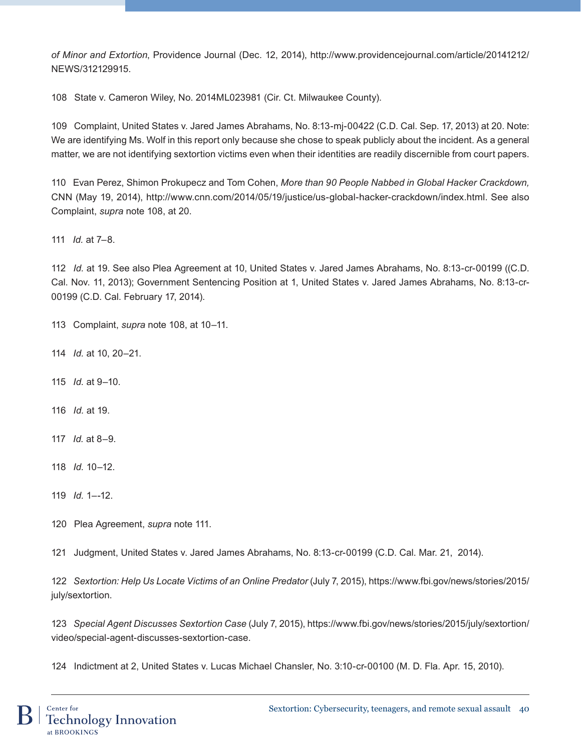*of Minor and Extortion*, Providence Journal (Dec. 12, 2014), http://www.providencejournal.com/article/20141212/ NEWS/312129915.

108 State v. Cameron Wiley, No. 2014ML023981 (Cir. Ct. Milwaukee County).

109 Complaint, United States v. Jared James Abrahams, No. 8:13-mj-00422 (C.D. Cal. Sep. 17, 2013) at 20. Note: We are identifying Ms. Wolf in this report only because she chose to speak publicly about the incident. As a general matter, we are not identifying sextortion victims even when their identities are readily discernible from court papers.

110 Evan Perez, Shimon Prokupecz and Tom Cohen, *More than 90 People Nabbed in Global Hacker Crackdown,*  CNN (May 19, 2014), http://www.cnn.com/2014/05/19/justice/us-global-hacker-crackdown/index.html. See also Complaint, *supra* note 108, at 20.

111 *Id.* at 7–8.

112 *Id.* at 19. See also Plea Agreement at 10, United States v. Jared James Abrahams, No. 8:13-cr-00199 ((C.D. Cal. Nov. 11, 2013); Government Sentencing Position at 1, United States v. Jared James Abrahams, No. 8:13-cr-00199 (C.D. Cal. February 17, 2014).

113 Complaint, *supra* note 108, at 10–11.

- 114 *Id.* at 10, 20–21.
- 115 *Id.* at 9–10.
- 116 *Id.* at 19.
- 117 *Id.* at 8–9.
- 118 *Id.* 10–12.
- 119 *Id.* 1–-12.
- 120 Plea Agreement, *supra* note 111.
- 121 Judgment, United States v. Jared James Abrahams, No. 8:13-cr-00199 (C.D. Cal. Mar. 21, 2014).

122 *Sextortion: Help Us Locate Victims of an Online Predator* (July 7, 2015), https://www.fbi.gov/news/stories/2015/ july/sextortion.

123 *Special Agent Discusses Sextortion Case* (July 7, 2015), https://www.fbi.gov/news/stories/2015/july/sextortion/ video/special-agent-discusses-sextortion-case.

124 Indictment at 2, United States v. Lucas Michael Chansler, No. 3:10-cr-00100 (M. D. Fla. Apr. 15, 2010).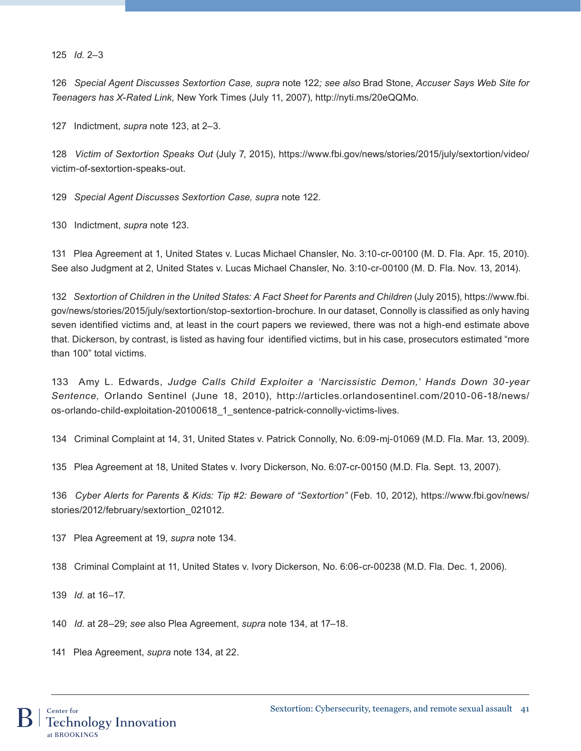125 *Id.* 2–3

126 *Special Agent Discusses Sextortion Case, supra* note 122*; see also* Brad Stone, *Accuser Says Web Site for Teenagers has X-Rated Link,* New York Times (July 11, 2007), http://nyti.ms/20eQQMo.

127 Indictment, *supra* note 123, at 2–3.

128 *Victim of Sextortion Speaks Out* (July 7, 2015), https://www.fbi.gov/news/stories/2015/july/sextortion/video/ victim-of-sextortion-speaks-out.

129 *Special Agent Discusses Sextortion Case, supra* note 122.

130 Indictment, *supra* note 123.

131 Plea Agreement at 1, United States v. Lucas Michael Chansler, No. 3:10-cr-00100 (M. D. Fla. Apr. 15, 2010). See also Judgment at 2, United States v. Lucas Michael Chansler, No. 3:10-cr-00100 (M. D. Fla. Nov. 13, 2014).

132 *Sextortion of Children in the United States: A Fact Sheet for Parents and Children* (July 2015), https://www.fbi. gov/news/stories/2015/july/sextortion/stop-sextortion-brochure. In our dataset, Connolly is classified as only having seven identified victims and, at least in the court papers we reviewed, there was not a high-end estimate above that. Dickerson, by contrast, is listed as having four identified victims, but in his case, prosecutors estimated "more than 100" total victims.

133 Amy L. Edwards, *Judge Calls Child Exploiter a 'Narcissistic Demon,' Hands Down 30-year Sentence,* Orlando Sentinel (June 18, 2010), http://articles.orlandosentinel.com/2010-06-18/news/ os-orlando-child-exploitation-20100618\_1\_sentence-patrick-connolly-victims-lives.

134 Criminal Complaint at 14, 31, United States v. Patrick Connolly, No. 6:09-mj-01069 (M.D. Fla. Mar. 13, 2009).

135 Plea Agreement at 18, United States v. Ivory Dickerson, No. 6:07-cr-00150 (M.D. Fla. Sept. 13, 2007).

136 *Cyber Alerts for Parents & Kids: Tip #2: Beware of "Sextortion"* (Feb. 10, 2012), https://www.fbi.gov/news/ stories/2012/february/sextortion\_021012.

137 Plea Agreement at 19, *supra* note 134.

138 Criminal Complaint at 11, United States v. Ivory Dickerson, No. 6:06-cr-00238 (M.D. Fla. Dec. 1, 2006).

139 *Id.* at 16–17.

140 *Id.* at 28–29; *see* also Plea Agreement, *supra* note 134, at 17–18.

141 Plea Agreement, *supra* note 134, at 22.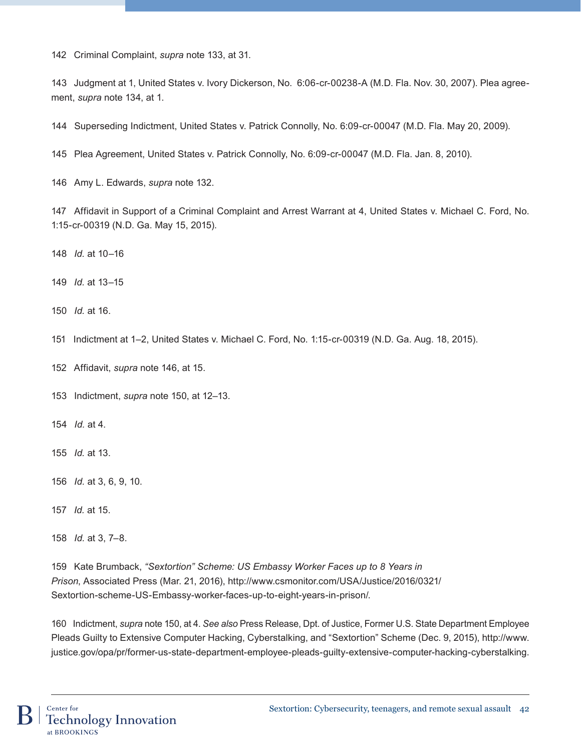142 Criminal Complaint, *supra* note 133, at 31.

143 Judgment at 1, United States v. Ivory Dickerson, No. 6:06-cr-00238-A (M.D. Fla. Nov. 30, 2007). Plea agreement, *supra* note 134, at 1.

144 Superseding Indictment, United States v. Patrick Connolly, No. 6:09-cr-00047 (M.D. Fla. May 20, 2009).

145 Plea Agreement, United States v. Patrick Connolly, No. 6:09-cr-00047 (M.D. Fla. Jan. 8, 2010).

146 Amy L. Edwards, *supra* note 132.

147 Affidavit in Support of a Criminal Complaint and Arrest Warrant at 4, United States v. Michael C. Ford, No. 1:15-cr-00319 (N.D. Ga. May 15, 2015).

148 *Id.* at 10–16

149 *Id.* at 13–15

150 *Id.* at 16.

- 151 Indictment at 1–2, United States v. Michael C. Ford, No. 1:15-cr-00319 (N.D. Ga. Aug. 18, 2015).
- 152 Affidavit, *supra* note 146, at 15.

153 Indictment, *supra* note 150, at 12–13.

- 154 *Id.* at 4.
- 155 *Id.* at 13.
- 156 *Id.* at 3, 6, 9, 10.
- 157 *Id.* at 15.
- 158 *Id.* at 3, 7–8.

159 Kate Brumback, *"Sextortion" Scheme: US Embassy Worker Faces up to 8 Years in Prison*, Associated Press (Mar. 21, 2016), http://www.csmonitor.com/USA/Justice/2016/0321/ Sextortion-scheme-US-Embassy-worker-faces-up-to-eight-years-in-prison/.

160 Indictment, *supra* note 150, at 4. *See also* Press Release, Dpt. of Justice, Former U.S. State Department Employee Pleads Guilty to Extensive Computer Hacking, Cyberstalking, and "Sextortion" Scheme (Dec. 9, 2015), http://www. justice.gov/opa/pr/former-us-state-department-employee-pleads-guilty-extensive-computer-hacking-cyberstalking.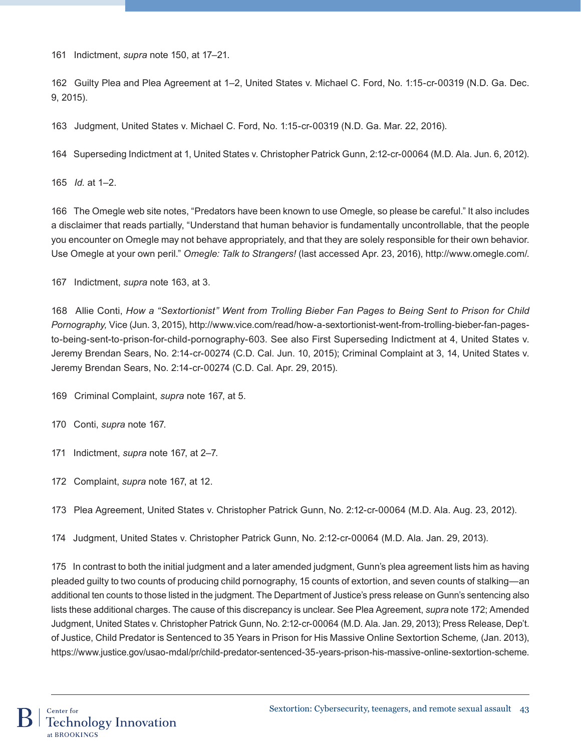161 Indictment, *supra* note 150, at 17–21.

162 Guilty Plea and Plea Agreement at 1–2, United States v. Michael C. Ford, No. 1:15-cr-00319 (N.D. Ga. Dec. 9, 2015).

163 Judgment, United States v. Michael C. Ford, No. 1:15-cr-00319 (N.D. Ga. Mar. 22, 2016).

164 Superseding Indictment at 1, United States v. Christopher Patrick Gunn, 2:12-cr-00064 (M.D. Ala. Jun. 6, 2012).

165 *Id.* at 1–2.

166 The Omegle web site notes, "Predators have been known to use Omegle, so please be careful." It also includes a disclaimer that reads partially, "Understand that human behavior is fundamentally uncontrollable, that the people you encounter on Omegle may not behave appropriately, and that they are solely responsible for their own behavior. Use Omegle at your own peril." *Omegle: Talk to Strangers!* (last accessed Apr. 23, 2016), http://www.omegle.com/.

167 Indictment, *supra* note 163, at 3.

168 Allie Conti, *How a "Sextortionist" Went from Trolling Bieber Fan Pages to Being Sent to Prison for Child Pornography,* Vice (Jun. 3, 2015), http://www.vice.com/read/how-a-sextortionist-went-from-trolling-bieber-fan-pagesto-being-sent-to-prison-for-child-pornography-603. See also First Superseding Indictment at 4, United States v. Jeremy Brendan Sears, No. 2:14-cr-00274 (C.D. Cal. Jun. 10, 2015); Criminal Complaint at 3, 14, United States v. Jeremy Brendan Sears, No. 2:14-cr-00274 (C.D. Cal. Apr. 29, 2015).

169 Criminal Complaint, *supra* note 167, at 5.

- 170 Conti, *supra* note 167.
- 171 Indictment, *supra* note 167, at 2–7.
- 172 Complaint, *supra* note 167, at 12.
- 173 Plea Agreement, United States v. Christopher Patrick Gunn, No. 2:12-cr-00064 (M.D. Ala. Aug. 23, 2012).
- 174 Judgment, United States v. Christopher Patrick Gunn, No. 2:12-cr-00064 (M.D. Ala. Jan. 29, 2013).

175 In contrast to both the initial judgment and a later amended judgment, Gunn's plea agreement lists him as having pleaded guilty to two counts of producing child pornography, 15 counts of extortion, and seven counts of stalking—an additional ten counts to those listed in the judgment. The Department of Justice's press release on Gunn's sentencing also lists these additional charges. The cause of this discrepancy is unclear. See Plea Agreement, *supra* note 172; Amended Judgment, United States v. Christopher Patrick Gunn, No. 2:12-cr-00064 (M.D. Ala. Jan. 29, 2013); Press Release, Dep't. of Justice, Child Predator is Sentenced to 35 Years in Prison for His Massive Online Sextortion Scheme*,* (Jan. 2013), https://www.justice.gov/usao-mdal/pr/child-predator-sentenced-35-years-prison-his-massive-online-sextortion-scheme.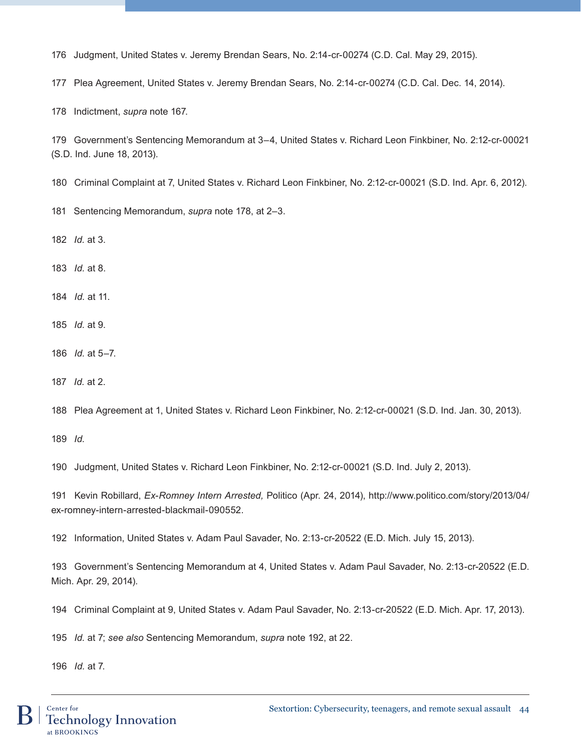176 Judgment, United States v. Jeremy Brendan Sears, No. 2:14-cr-00274 (C.D. Cal. May 29, 2015).

177 Plea Agreement, United States v. Jeremy Brendan Sears, No. 2:14-cr-00274 (C.D. Cal. Dec. 14, 2014).

178 Indictment, *supra* note 167.

179 Government's Sentencing Memorandum at 3–4, United States v. Richard Leon Finkbiner, No. 2:12-cr-00021 (S.D. Ind. June 18, 2013).

180 Criminal Complaint at 7, United States v. Richard Leon Finkbiner, No. 2:12-cr-00021 (S.D. Ind. Apr. 6, 2012).

181 Sentencing Memorandum, *supra* note 178, at 2–3.

182 *Id.* at 3.

183 *Id.* at 8.

184 *Id.* at 11.

- 185 *Id.* at 9.
- 186 *Id.* at 5–7.
- 187 *Id.* at 2.

188 Plea Agreement at 1, United States v. Richard Leon Finkbiner, No. 2:12-cr-00021 (S.D. Ind. Jan. 30, 2013).

189 *Id.* 

190 Judgment, United States v. Richard Leon Finkbiner, No. 2:12-cr-00021 (S.D. Ind. July 2, 2013).

191 Kevin Robillard, *Ex-Romney Intern Arrested,* Politico (Apr. 24, 2014), http://www.politico.com/story/2013/04/ ex-romney-intern-arrested-blackmail-090552.

192 Information, United States v. Adam Paul Savader, No. 2:13-cr-20522 (E.D. Mich. July 15, 2013).

193 Government's Sentencing Memorandum at 4, United States v. Adam Paul Savader, No. 2:13-cr-20522 (E.D. Mich. Apr. 29, 2014).

194 Criminal Complaint at 9, United States v. Adam Paul Savader, No. 2:13-cr-20522 (E.D. Mich. Apr. 17, 2013).

195 *Id.* at 7; *see also* Sentencing Memorandum, *supra* note 192, at 22.

196 *Id.* at 7.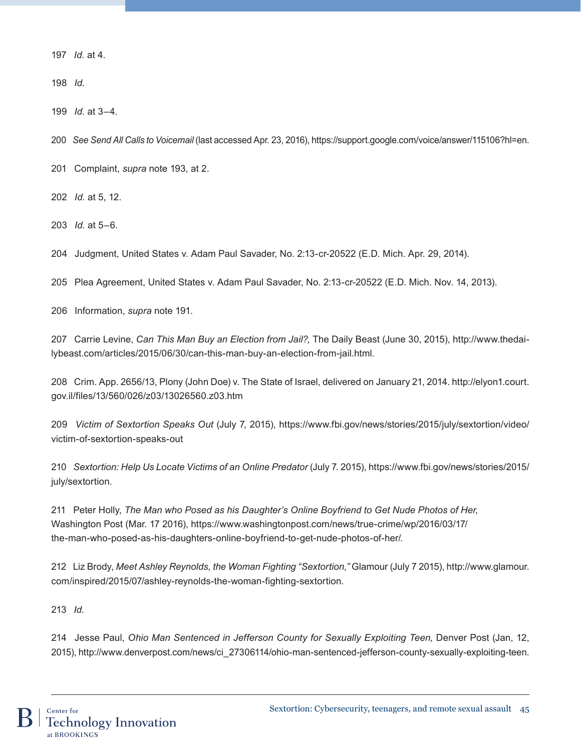197 *Id.* at 4.

198 *Id.* 

199 *Id.* at 3–4.

200 *See Send All Calls to Voicemail* (last accessed Apr. 23, 2016), https://support.google.com/voice/answer/115106?hl=en.

201 Complaint, *supra* note 193, at 2.

202 *Id.* at 5, 12.

203 *Id.* at 5–6.

204 Judgment, United States v. Adam Paul Savader, No. 2:13-cr-20522 (E.D. Mich. Apr. 29, 2014).

205 Plea Agreement, United States v. Adam Paul Savader, No. 2:13-cr-20522 (E.D. Mich. Nov. 14, 2013).

206 Information, *supra* note 191.

207 Carrie Levine, *Can This Man Buy an Election from Jail?,* The Daily Beast (June 30, 2015), http://www.thedailybeast.com/articles/2015/06/30/can-this-man-buy-an-election-from-jail.html.

208 Crim. App. 2656/13, Plony (John Doe) v. The State of Israel, delivered on January 21, 2014. http://elyon1.court. gov.il/files/13/560/026/z03/13026560.z03.htm

209 *Victim of Sextortion Speaks Out* (July 7, 2015), https://www.fbi.gov/news/stories/2015/july/sextortion/video/ victim-of-sextortion-speaks-out

210 *Sextortion: Help Us Locate Victims of an Online Predator* (July 7. 2015), https://www.fbi.gov/news/stories/2015/ july/sextortion.

211 Peter Holly, *The Man who Posed as his Daughter's Online Boyfriend to Get Nude Photos of Her*, Washington Post (Mar. 17 2016), https://www.washingtonpost.com/news/true-crime/wp/2016/03/17/ the-man-who-posed-as-his-daughters-online-boyfriend-to-get-nude-photos-of-her/.

212 Liz Brody, *Meet Ashley Reynolds, the Woman Fighting "Sextortion,"* Glamour (July 7 2015), http://www.glamour. com/inspired/2015/07/ashley-reynolds-the-woman-fighting-sextortion.

213 *Id.*

214 Jesse Paul, *Ohio Man Sentenced in Jefferson County for Sexually Exploiting Teen*, Denver Post (Jan, 12, 2015), http://www.denverpost.com/news/ci\_27306114/ohio-man-sentenced-jefferson-county-sexually-exploiting-teen.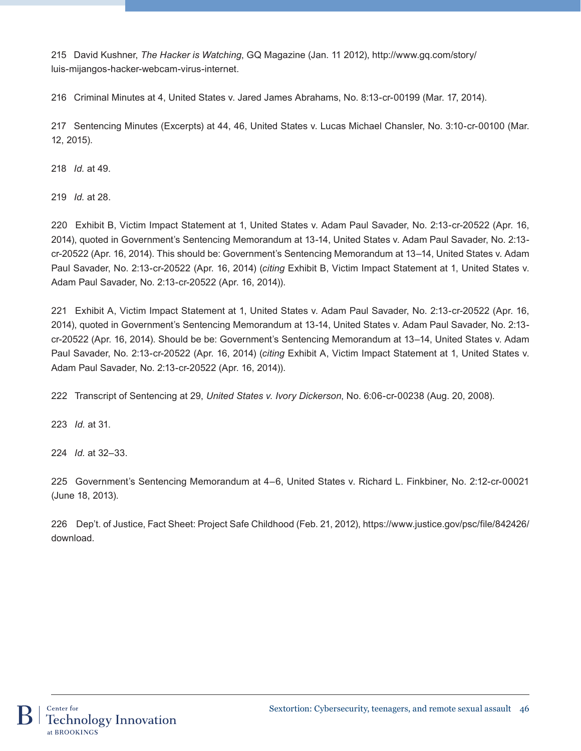215 David Kushner, *The Hacker is Watching*, GQ Magazine (Jan. 11 2012), http://www.gq.com/story/ luis-mijangos-hacker-webcam-virus-internet.

216 Criminal Minutes at 4, United States v. Jared James Abrahams, No. 8:13-cr-00199 (Mar. 17, 2014).

217 Sentencing Minutes (Excerpts) at 44, 46, United States v. Lucas Michael Chansler, No. 3:10-cr-00100 (Mar. 12, 2015).

218 *Id.* at 49.

219 *Id.* at 28.

220 Exhibit B, Victim Impact Statement at 1, United States v. Adam Paul Savader, No. 2:13-cr-20522 (Apr. 16, 2014), quoted in Government's Sentencing Memorandum at 13-14, United States v. Adam Paul Savader, No. 2:13 cr-20522 (Apr. 16, 2014). This should be: Government's Sentencing Memorandum at 13–14, United States v. Adam Paul Savader, No. 2:13-cr-20522 (Apr. 16, 2014) (*citing* Exhibit B, Victim Impact Statement at 1, United States v. Adam Paul Savader, No. 2:13-cr-20522 (Apr. 16, 2014)).

221 Exhibit A, Victim Impact Statement at 1, United States v. Adam Paul Savader, No. 2:13-cr-20522 (Apr. 16, 2014), quoted in Government's Sentencing Memorandum at 13-14, United States v. Adam Paul Savader, No. 2:13 cr-20522 (Apr. 16, 2014). Should be be: Government's Sentencing Memorandum at 13–14, United States v. Adam Paul Savader, No. 2:13-cr-20522 (Apr. 16, 2014) (*citing* Exhibit A, Victim Impact Statement at 1, United States v. Adam Paul Savader, No. 2:13-cr-20522 (Apr. 16, 2014)).

222 Transcript of Sentencing at 29, *United States v. Ivory Dickerson*, No. 6:06-cr-00238 (Aug. 20, 2008).

223 *Id.* at 31.

224 *Id.* at 32–33.

225 Government's Sentencing Memorandum at 4–6, United States v. Richard L. Finkbiner, No. 2:12-cr-00021 (June 18, 2013).

226 Dep't. of Justice, Fact Sheet: Project Safe Childhood (Feb. 21, 2012), https://www.justice.gov/psc/file/842426/ download.